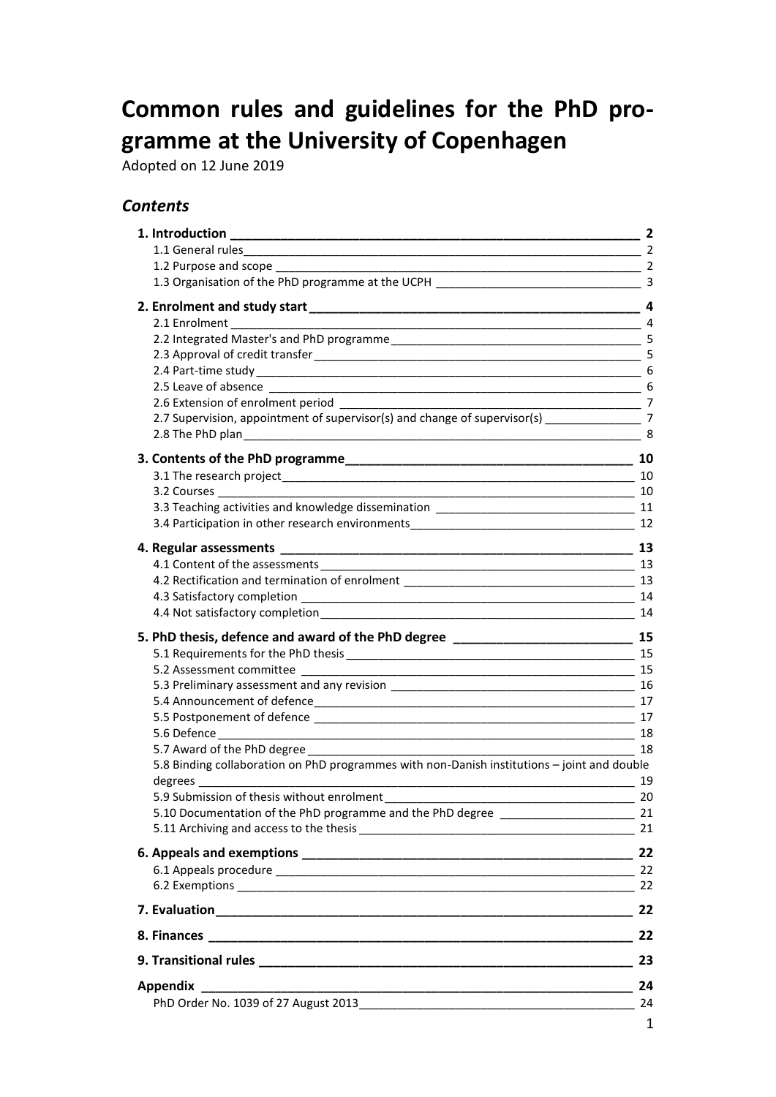# **Common rules and guidelines for the PhD programme at the University of Copenhagen**

Adopted on 12 June 2019

## *Contents*

| 1. Introduction                                                                                                | $\overline{2}$ |
|----------------------------------------------------------------------------------------------------------------|----------------|
|                                                                                                                |                |
|                                                                                                                |                |
|                                                                                                                |                |
|                                                                                                                | 4              |
|                                                                                                                |                |
|                                                                                                                |                |
|                                                                                                                |                |
|                                                                                                                |                |
|                                                                                                                |                |
|                                                                                                                |                |
| 2.7 Supervision, appointment of supervisor(s) and change of supervisor(s) ______________________7              |                |
| $\overline{\qquad \qquad }$ 8                                                                                  |                |
|                                                                                                                |                |
|                                                                                                                |                |
| 3.2 Courses<br>10                                                                                              |                |
|                                                                                                                |                |
|                                                                                                                |                |
|                                                                                                                |                |
|                                                                                                                |                |
|                                                                                                                |                |
|                                                                                                                |                |
|                                                                                                                | 14             |
|                                                                                                                |                |
| 5. PhD thesis, defence and award of the PhD degree ______________________________ 15                           |                |
|                                                                                                                |                |
|                                                                                                                |                |
|                                                                                                                |                |
|                                                                                                                |                |
|                                                                                                                |                |
| 5.6 Defence                                                                                                    | 18             |
|                                                                                                                | 18             |
| 5.8 Binding collaboration on PhD programmes with non-Danish institutions - joint and double                    | 19             |
| 5.9 Submission of thesis without enrolment example and the state of the state of the state of the state of the | 20             |
| 5.10 Documentation of the PhD programme and the PhD degree _______________________ 21                          |                |
|                                                                                                                |                |
|                                                                                                                |                |
|                                                                                                                |                |
|                                                                                                                |                |
|                                                                                                                |                |
|                                                                                                                |                |
|                                                                                                                |                |
|                                                                                                                |                |
|                                                                                                                |                |
|                                                                                                                |                |
|                                                                                                                |                |
|                                                                                                                | $\sim$ 1       |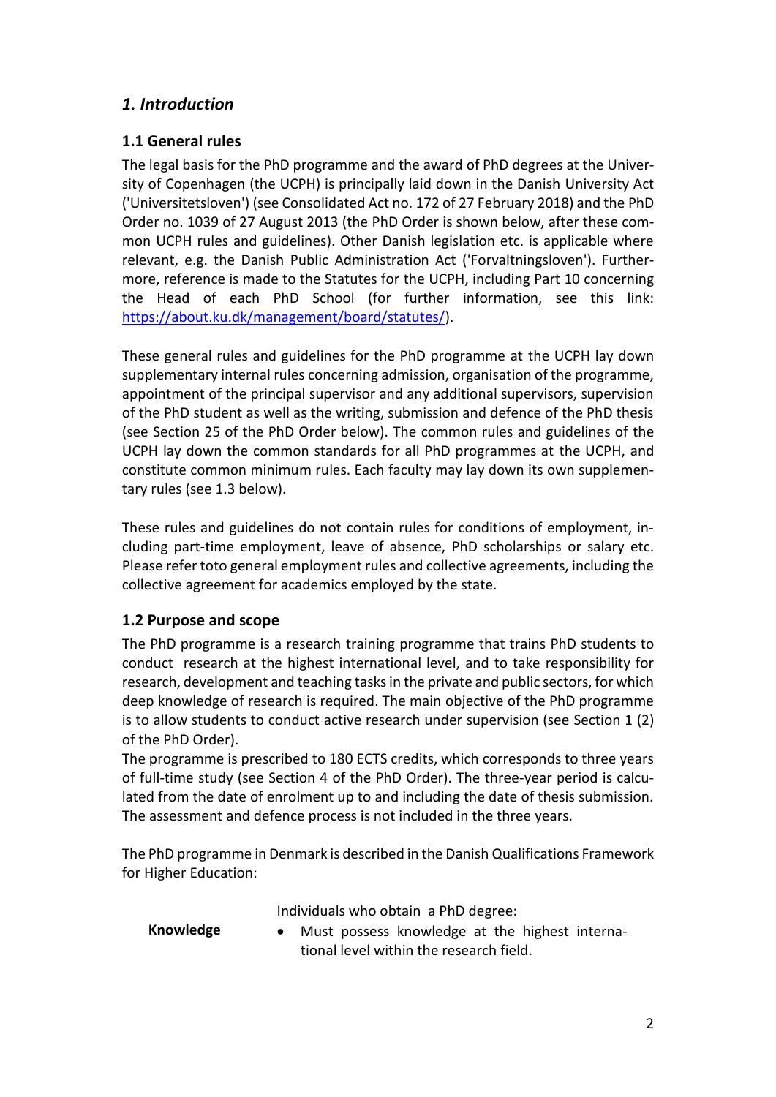# <span id="page-1-0"></span>*1. Introduction*

# <span id="page-1-1"></span>**1.1 General rules**

The legal basis for the PhD programme and the award of PhD degrees at the University of Copenhagen (the UCPH) is principally laid down in the Danish University Act ('Universitetsloven') (see Consolidated Act no. 172 of 27 February 2018) and the PhD Order no. 1039 of 27 August 2013 (the PhD Order is shown below, after these common UCPH rules and guidelines). Other Danish legislation etc. is applicable where relevant, e.g. the Danish Public Administration Act ('Forvaltningsloven'). Furthermore, reference is made to the Statutes for the UCPH, including Part 10 concerning the Head of each PhD School (for further information, see this link: [https://about.ku.dk/management/board/statutes/\)](https://bestyrelse.ku.dk/vedtaegt/).

These general rules and guidelines for the PhD programme at the UCPH lay down supplementary internal rules concerning admission, organisation of the programme, appointment of the principal supervisor and any additional supervisors, supervision of the PhD student as well as the writing, submission and defence of the PhD thesis (see Section 25 of the PhD Order below). The common rules and guidelines of the UCPH lay down the common standards for all PhD programmes at the UCPH, and constitute common minimum rules. Each faculty may lay down its own supplementary rules (see 1.3 below).

These rules and guidelines do not contain rules for conditions of employment, including part-time employment, leave of absence, PhD scholarships or salary etc. Please refer toto general employment rules and collective agreements, including the collective agreement for academics employed by the state.

# <span id="page-1-2"></span>**1.2 Purpose and scope**

The PhD programme is a research training programme that trains PhD students to conduct research at the highest international level, and to take responsibility for research, development and teaching tasks in the private and public sectors, for which deep knowledge of research is required. The main objective of the PhD programme is to allow students to conduct active research under supervision (see Section 1 (2) of the PhD Order).

The programme is prescribed to 180 ECTS credits, which corresponds to three years of full-time study (see Section 4 of the PhD Order). The three-year period is calculated from the date of enrolment up to and including the date of thesis submission. The assessment and defence process is not included in the three years.

The PhD programme in Denmark is described in the Danish Qualifications Framework for Higher Education:

Individuals who obtain a PhD degree:

**Knowledge** • Must possess knowledge at the highest international level within the research field.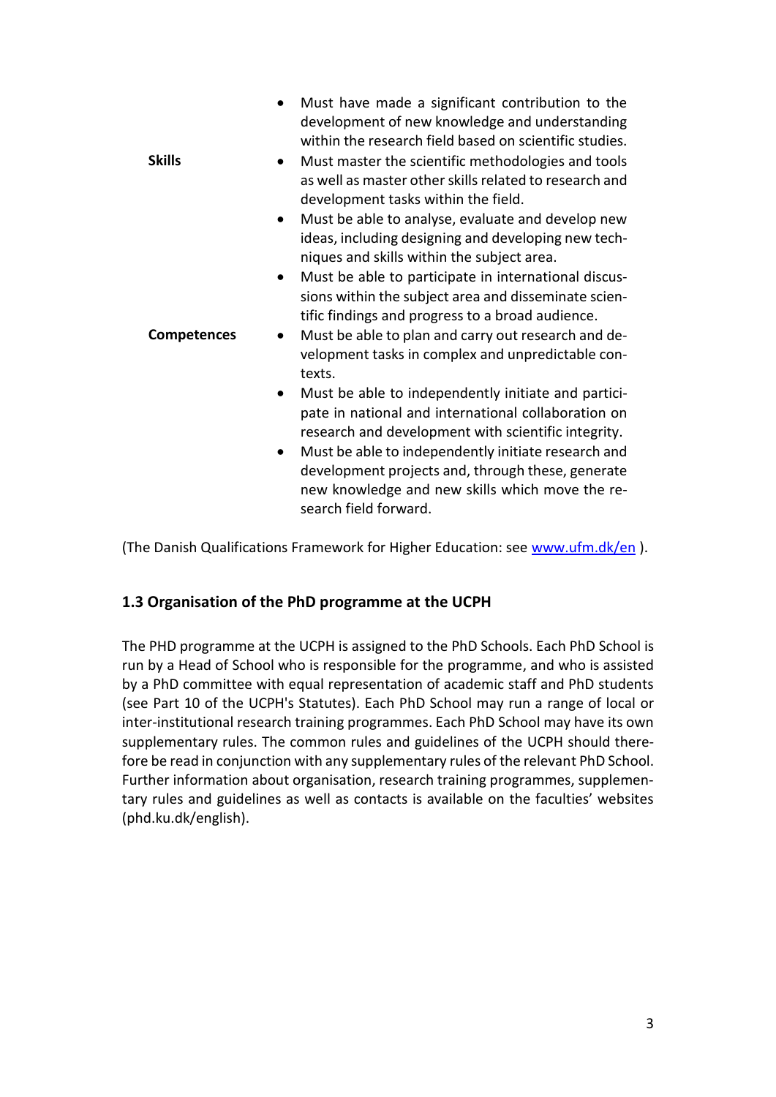|                    | Must have made a significant contribution to the<br>development of new knowledge and understanding<br>within the research field based on scientific studies.                                      |
|--------------------|---------------------------------------------------------------------------------------------------------------------------------------------------------------------------------------------------|
| <b>Skills</b>      | Must master the scientific methodologies and tools<br>as well as master other skills related to research and<br>development tasks within the field.                                               |
|                    | Must be able to analyse, evaluate and develop new<br>ideas, including designing and developing new tech-<br>niques and skills within the subject area.                                            |
|                    | Must be able to participate in international discus-<br>sions within the subject area and disseminate scien-<br>tific findings and progress to a broad audience.                                  |
| <b>Competences</b> | Must be able to plan and carry out research and de-<br>velopment tasks in complex and unpredictable con-<br>texts.                                                                                |
|                    | Must be able to independently initiate and partici-<br>pate in national and international collaboration on<br>research and development with scientific integrity.                                 |
|                    | Must be able to independently initiate research and<br>$\bullet$<br>development projects and, through these, generate<br>new knowledge and new skills which move the re-<br>search field forward. |

(The Danish Qualifications Framework for Higher Education: see [www.ufm.dk/en](http://www.ufm.dk/en)).

# <span id="page-2-0"></span>**1.3 Organisation of the PhD programme at the UCPH**

The PHD programme at the UCPH is assigned to the PhD Schools. Each PhD School is run by a Head of School who is responsible for the programme, and who is assisted by a PhD committee with equal representation of academic staff and PhD students (see Part 10 of the UCPH's Statutes). Each PhD School may run a range of local or inter-institutional research training programmes. Each PhD School may have its own supplementary rules. The common rules and guidelines of the UCPH should therefore be read in conjunction with any supplementary rules of the relevant PhD School. Further information about organisation, research training programmes, supplementary rules and guidelines as well as contacts is available on the faculties' websites (phd.ku.dk/english).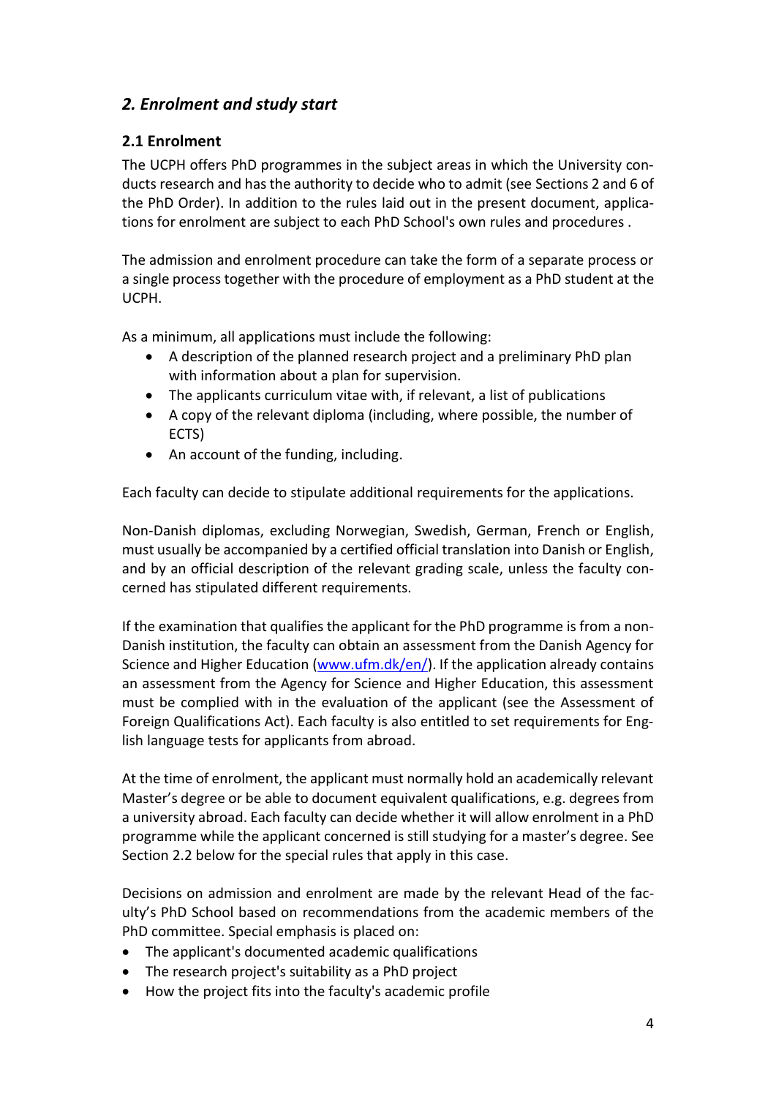# <span id="page-3-0"></span>*2. Enrolment and study start*

# <span id="page-3-1"></span>**2.1 Enrolment**

The UCPH offers PhD programmes in the subject areas in which the University conducts research and has the authority to decide who to admit (see Sections 2 and 6 of the PhD Order). In addition to the rules laid out in the present document, applications for enrolment are subject to each PhD School's own rules and procedures .

The admission and enrolment procedure can take the form of a separate process or a single process together with the procedure of employment as a PhD student at the UCPH.

As a minimum, all applications must include the following:

- A description of the planned research project and a preliminary PhD plan with information about a plan for supervision.
- The applicants curriculum vitae with, if relevant, a list of publications
- A copy of the relevant diploma (including, where possible, the number of ECTS)
- An account of the funding, including.

Each faculty can decide to stipulate additional requirements for the applications.

Non-Danish diplomas, excluding Norwegian, Swedish, German, French or English, must usually be accompanied by a certified official translation into Danish or English, and by an official description of the relevant grading scale, unless the faculty concerned has stipulated different requirements.

If the examination that qualifies the applicant for the PhD programme is from a non-Danish institution, the faculty can obtain an assessment from the Danish Agency for Science and Higher Education [\(www.ufm.dk/en/\)](file:///C:/Users/bcl437/AppData/Local/Microsoft/Windows/INetCache/Content.Outlook/7BAOU0ZE/www.ufm.dk/en/). If the application already contains an assessment from the Agency for Science and Higher Education, this assessment must be complied with in the evaluation of the applicant (see the Assessment of Foreign Qualifications Act). Each faculty is also entitled to set requirements for English language tests for applicants from abroad.

At the time of enrolment, the applicant must normally hold an academically relevant Master's degree or be able to document equivalent qualifications, e.g. degrees from a university abroad. Each faculty can decide whether it will allow enrolment in a PhD programme while the applicant concerned is still studying for a master's degree. See Section 2.2 below for the special rules that apply in this case.

Decisions on admission and enrolment are made by the relevant Head of the faculty's PhD School based on recommendations from the academic members of the PhD committee. Special emphasis is placed on:

- The applicant's documented academic qualifications
- The research project's suitability as a PhD project
- How the project fits into the faculty's academic profile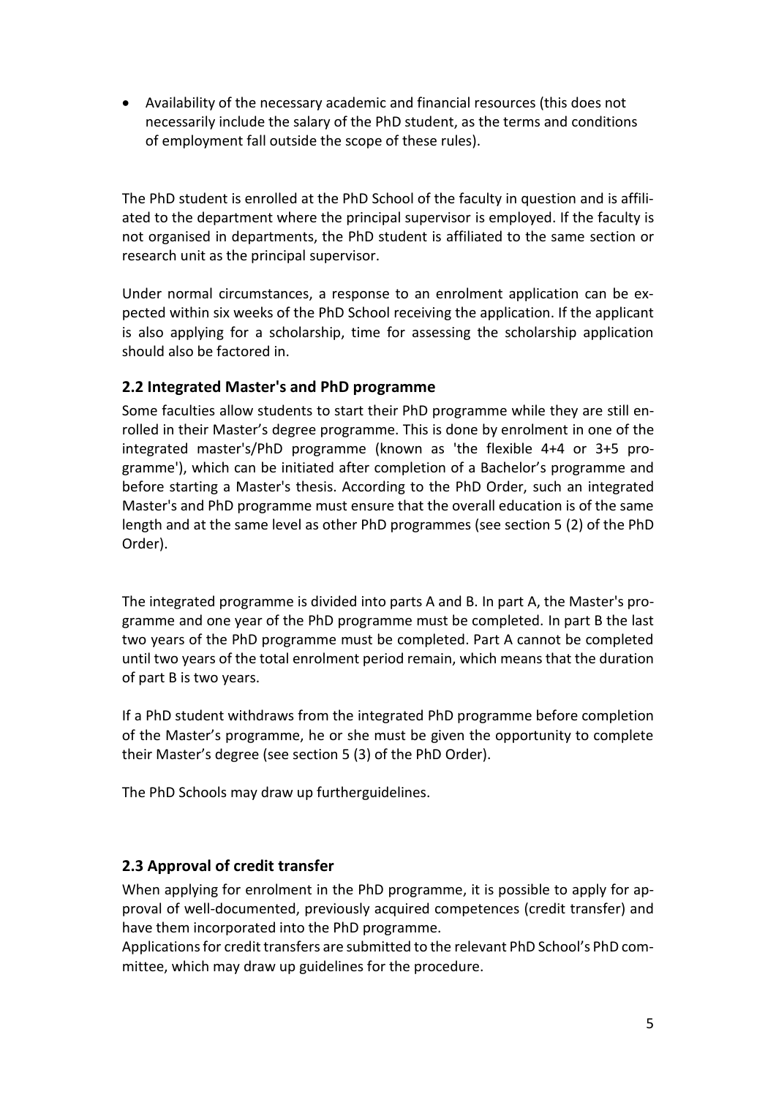Availability of the necessary academic and financial resources (this does not necessarily include the salary of the PhD student, as the terms and conditions of employment fall outside the scope of these rules).

The PhD student is enrolled at the PhD School of the faculty in question and is affiliated to the department where the principal supervisor is employed. If the faculty is not organised in departments, the PhD student is affiliated to the same section or research unit as the principal supervisor.

Under normal circumstances, a response to an enrolment application can be expected within six weeks of the PhD School receiving the application. If the applicant is also applying for a scholarship, time for assessing the scholarship application should also be factored in.

# <span id="page-4-0"></span>**2.2 Integrated Master's and PhD programme**

Some faculties allow students to start their PhD programme while they are still enrolled in their Master's degree programme. This is done by enrolment in one of the integrated master's/PhD programme (known as 'the flexible 4+4 or 3+5 programme'), which can be initiated after completion of a Bachelor's programme and before starting a Master's thesis. According to the PhD Order, such an integrated Master's and PhD programme must ensure that the overall education is of the same length and at the same level as other PhD programmes (see section 5 (2) of the PhD Order).

The integrated programme is divided into parts A and B. In part A, the Master's programme and one year of the PhD programme must be completed. In part B the last two years of the PhD programme must be completed. Part A cannot be completed until two years of the total enrolment period remain, which means that the duration of part B is two years.

If a PhD student withdraws from the integrated PhD programme before completion of the Master's programme, he or she must be given the opportunity to complete their Master's degree (see section 5 (3) of the PhD Order).

The PhD Schools may draw up furtherguidelines.

# <span id="page-4-1"></span>**2.3 Approval of credit transfer**

When applying for enrolment in the PhD programme, it is possible to apply for approval of well-documented, previously acquired competences (credit transfer) and have them incorporated into the PhD programme.

Applications for credit transfers are submitted to the relevant PhD School's PhD committee, which may draw up guidelines for the procedure.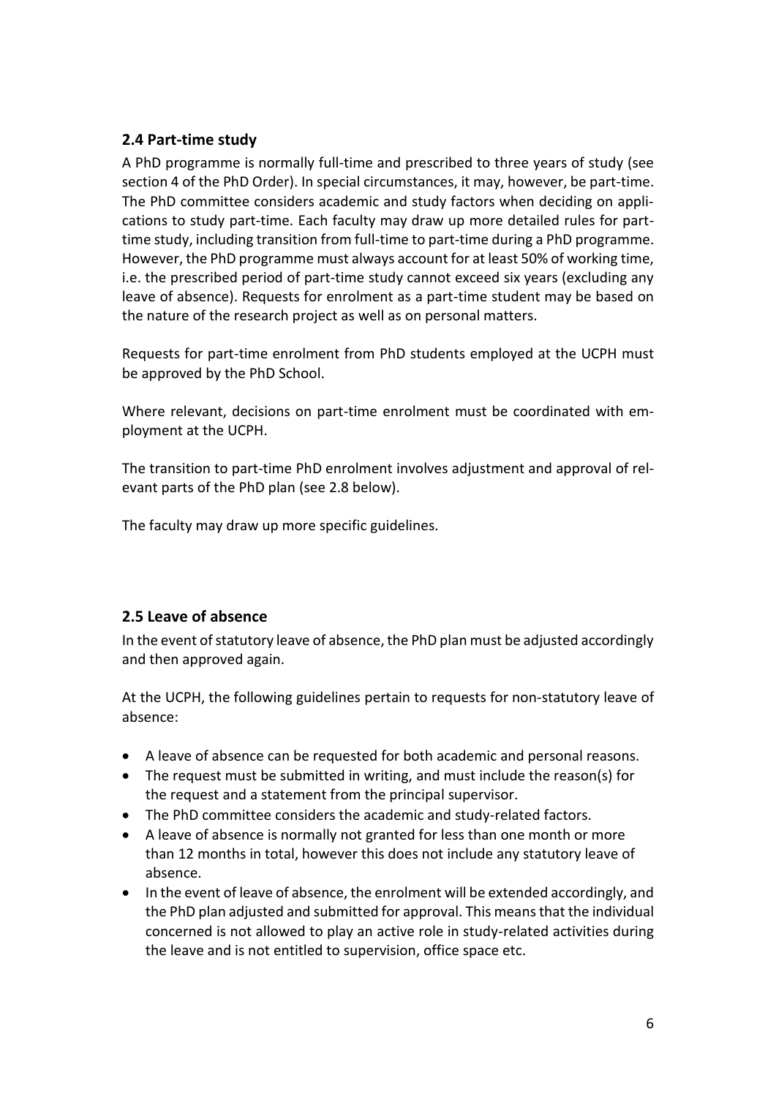### <span id="page-5-0"></span>**2.4 Part-time study**

A PhD programme is normally full-time and prescribed to three years of study (see section 4 of the PhD Order). In special circumstances, it may, however, be part-time. The PhD committee considers academic and study factors when deciding on applications to study part-time. Each faculty may draw up more detailed rules for parttime study, including transition from full-time to part-time during a PhD programme. However, the PhD programme must always account for at least 50% of working time, i.e. the prescribed period of part-time study cannot exceed six years (excluding any leave of absence). Requests for enrolment as a part-time student may be based on the nature of the research project as well as on personal matters.

Requests for part-time enrolment from PhD students employed at the UCPH must be approved by the PhD School.

Where relevant, decisions on part-time enrolment must be coordinated with employment at the UCPH.

The transition to part-time PhD enrolment involves adjustment and approval of relevant parts of the PhD plan (see 2.8 below).

The faculty may draw up more specific guidelines.

# <span id="page-5-1"></span>**2.5 Leave of absence**

In the event of statutory leave of absence, the PhD plan must be adjusted accordingly and then approved again.

At the UCPH, the following guidelines pertain to requests for non-statutory leave of absence:

- A leave of absence can be requested for both academic and personal reasons.
- The request must be submitted in writing, and must include the reason(s) for the request and a statement from the principal supervisor.
- The PhD committee considers the academic and study-related factors.
- A leave of absence is normally not granted for less than one month or more than 12 months in total, however this does not include any statutory leave of absence.
- In the event of leave of absence, the enrolment will be extended accordingly, and the PhD plan adjusted and submitted for approval. This means that the individual concerned is not allowed to play an active role in study-related activities during the leave and is not entitled to supervision, office space etc.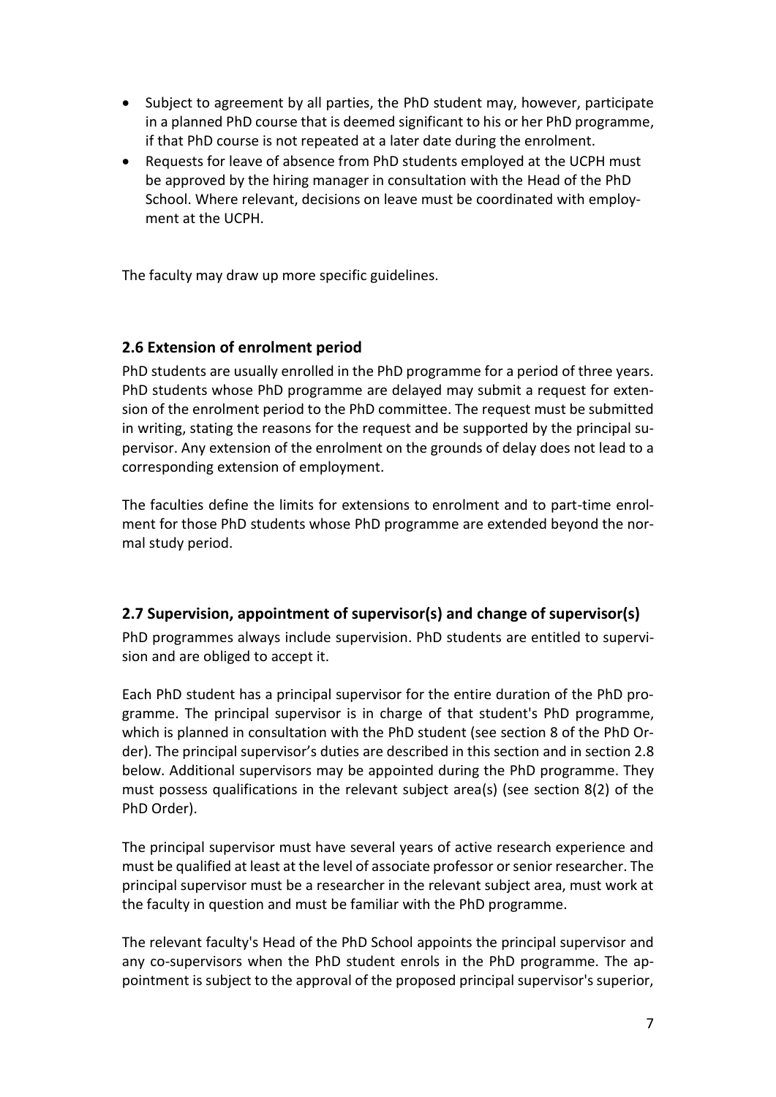- Subject to agreement by all parties, the PhD student may, however, participate in a planned PhD course that is deemed significant to his or her PhD programme, if that PhD course is not repeated at a later date during the enrolment.
- Requests for leave of absence from PhD students employed at the UCPH must be approved by the hiring manager in consultation with the Head of the PhD School. Where relevant, decisions on leave must be coordinated with employment at the UCPH.

The faculty may draw up more specific guidelines.

### <span id="page-6-0"></span>**2.6 Extension of enrolment period**

PhD students are usually enrolled in the PhD programme for a period of three years. PhD students whose PhD programme are delayed may submit a request for extension of the enrolment period to the PhD committee. The request must be submitted in writing, stating the reasons for the request and be supported by the principal supervisor. Any extension of the enrolment on the grounds of delay does not lead to a corresponding extension of employment.

The faculties define the limits for extensions to enrolment and to part-time enrolment for those PhD students whose PhD programme are extended beyond the normal study period.

### <span id="page-6-1"></span>**2.7 Supervision, appointment of supervisor(s) and change of supervisor(s)**

PhD programmes always include supervision. PhD students are entitled to supervision and are obliged to accept it.

Each PhD student has a principal supervisor for the entire duration of the PhD programme. The principal supervisor is in charge of that student's PhD programme, which is planned in consultation with the PhD student (see section 8 of the PhD Order). The principal supervisor's duties are described in this section and in section 2.8 below. Additional supervisors may be appointed during the PhD programme. They must possess qualifications in the relevant subject area(s) (see section 8(2) of the PhD Order).

The principal supervisor must have several years of active research experience and must be qualified at least at the level of associate professor or senior researcher. The principal supervisor must be a researcher in the relevant subject area, must work at the faculty in question and must be familiar with the PhD programme.

The relevant faculty's Head of the PhD School appoints the principal supervisor and any co-supervisors when the PhD student enrols in the PhD programme. The appointment is subject to the approval of the proposed principal supervisor's superior,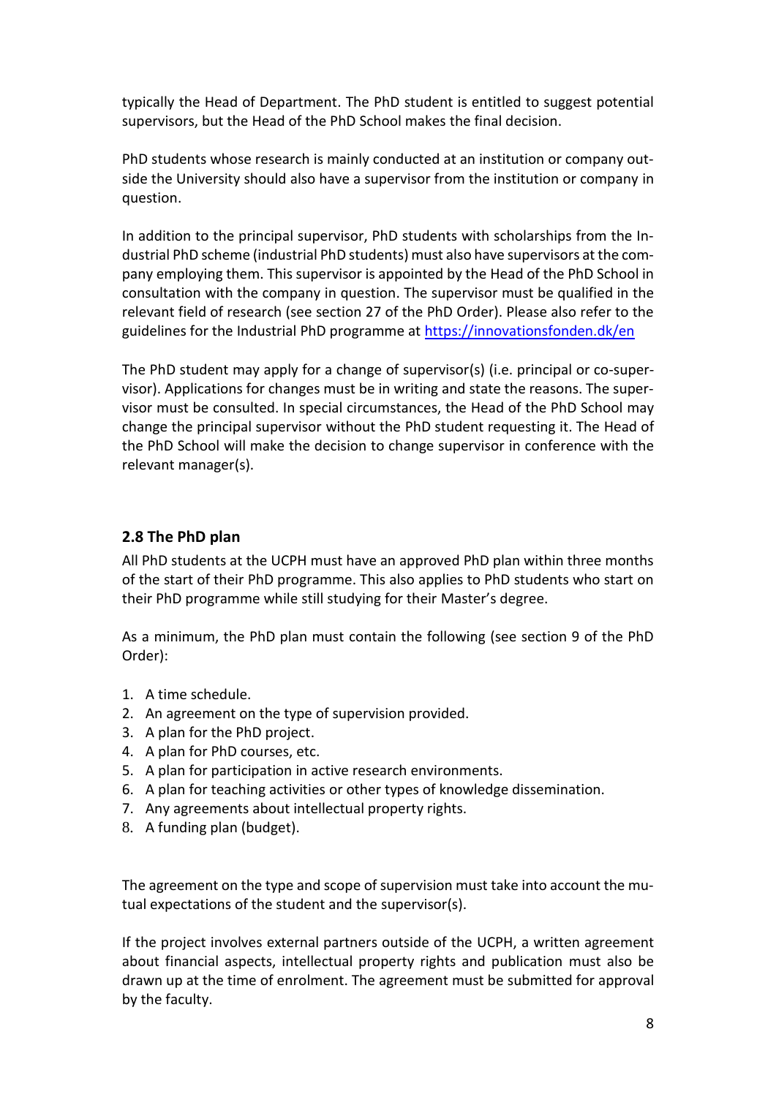typically the Head of Department. The PhD student is entitled to suggest potential supervisors, but the Head of the PhD School makes the final decision.

PhD students whose research is mainly conducted at an institution or company outside the University should also have a supervisor from the institution or company in question.

In addition to the principal supervisor, PhD students with scholarships from the Industrial PhD scheme (industrial PhD students) must also have supervisors at the company employing them. This supervisor is appointed by the Head of the PhD School in consultation with the company in question. The supervisor must be qualified in the relevant field of research (see section 27 of the PhD Order). Please also refer to the guidelines for the Industrial PhD programme at<https://innovationsfonden.dk/en>

The PhD student may apply for a change of supervisor(s) (i.e. principal or co-supervisor). Applications for changes must be in writing and state the reasons. The supervisor must be consulted. In special circumstances, the Head of the PhD School may change the principal supervisor without the PhD student requesting it. The Head of the PhD School will make the decision to change supervisor in conference with the relevant manager(s).

# <span id="page-7-0"></span>**2.8 The PhD plan**

All PhD students at the UCPH must have an approved PhD plan within three months of the start of their PhD programme. This also applies to PhD students who start on their PhD programme while still studying for their Master's degree.

As a minimum, the PhD plan must contain the following (see section 9 of the PhD Order):

- 1. A time schedule.
- 2. An agreement on the type of supervision provided.
- 3. A plan for the PhD project.
- 4. A plan for PhD courses, etc.
- 5. A plan for participation in active research environments.
- 6. A plan for teaching activities or other types of knowledge dissemination.
- 7. Any agreements about intellectual property rights.
- 8. A funding plan (budget).

The agreement on the type and scope of supervision must take into account the mutual expectations of the student and the supervisor(s).

If the project involves external partners outside of the UCPH, a written agreement about financial aspects, intellectual property rights and publication must also be drawn up at the time of enrolment. The agreement must be submitted for approval by the faculty.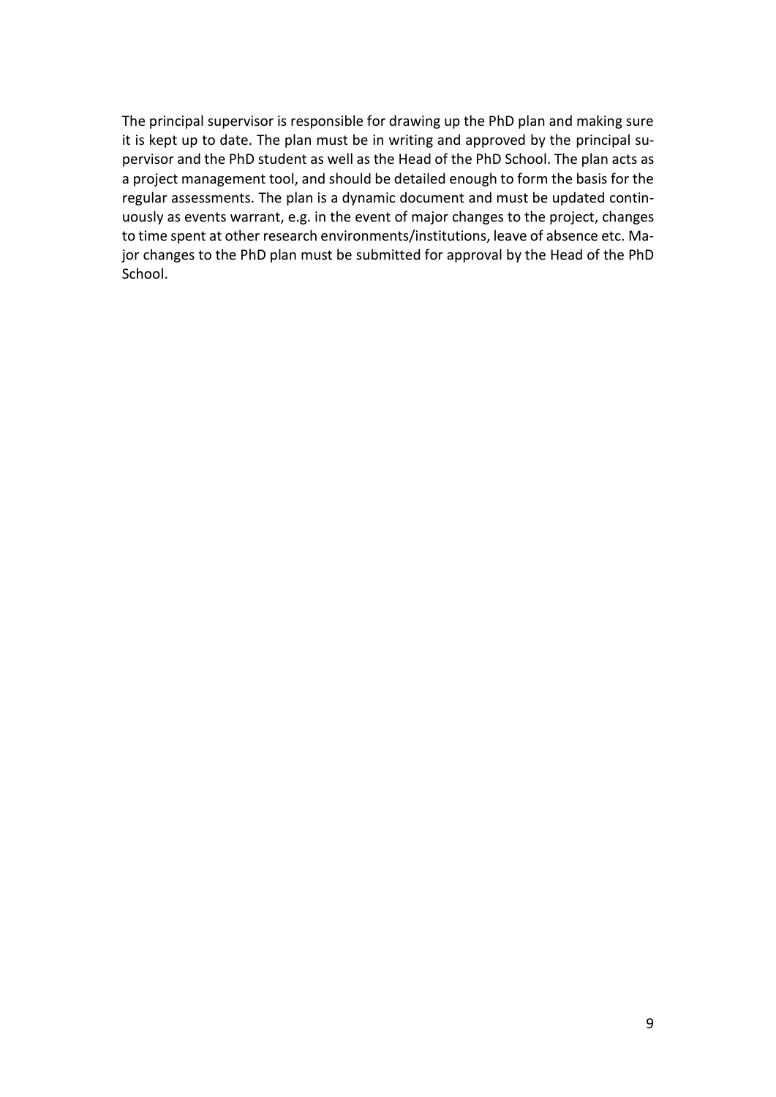The principal supervisor is responsible for drawing up the PhD plan and making sure it is kept up to date. The plan must be in writing and approved by the principal supervisor and the PhD student as well as the Head of the PhD School. The plan acts as a project management tool, and should be detailed enough to form the basis for the regular assessments. The plan is a dynamic document and must be updated continuously as events warrant, e.g. in the event of major changes to the project, changes to time spent at other research environments/institutions, leave of absence etc. Major changes to the PhD plan must be submitted for approval by the Head of the PhD School.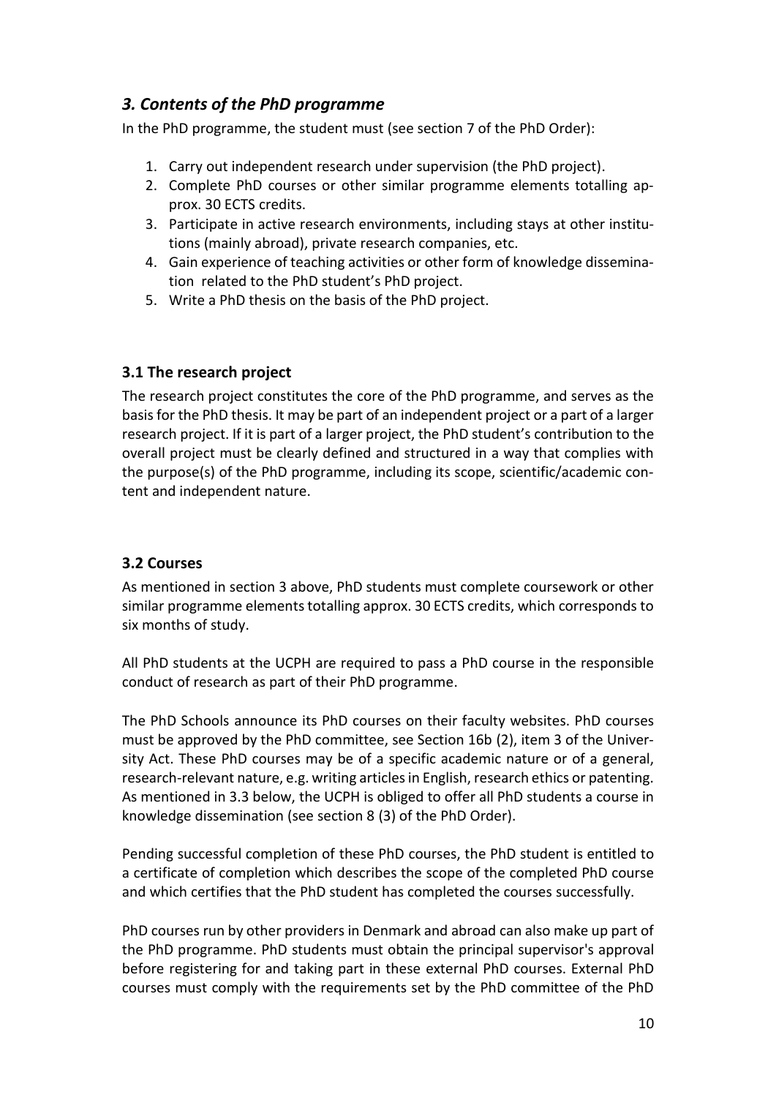# <span id="page-9-0"></span>*3. Contents of the PhD programme*

In the PhD programme, the student must (see section 7 of the PhD Order):

- 1. Carry out independent research under supervision (the PhD project).
- 2. Complete PhD courses or other similar programme elements totalling approx. 30 ECTS credits.
- 3. Participate in active research environments, including stays at other institutions (mainly abroad), private research companies, etc.
- 4. Gain experience of teaching activities or other form of knowledge dissemination related to the PhD student's PhD project.
- <span id="page-9-1"></span>5. Write a PhD thesis on the basis of the PhD project.

# **3.1 The research project**

The research project constitutes the core of the PhD programme, and serves as the basis for the PhD thesis. It may be part of an independent project or a part of a larger research project. If it is part of a larger project, the PhD student's contribution to the overall project must be clearly defined and structured in a way that complies with the purpose(s) of the PhD programme, including its scope, scientific/academic content and independent nature.

# <span id="page-9-2"></span>**3.2 Courses**

As mentioned in section 3 above, PhD students must complete coursework or other similar programme elements totalling approx. 30 ECTS credits, which corresponds to six months of study.

All PhD students at the UCPH are required to pass a PhD course in the responsible conduct of research as part of their PhD programme.

The PhD Schools announce its PhD courses on their faculty websites. PhD courses must be approved by the PhD committee, see Section 16b (2), item 3 of the University Act. These PhD courses may be of a specific academic nature or of a general, research-relevant nature, e.g. writing articles in English, research ethics or patenting. As mentioned in 3.3 below, the UCPH is obliged to offer all PhD students a course in knowledge dissemination (see section 8 (3) of the PhD Order).

Pending successful completion of these PhD courses, the PhD student is entitled to a certificate of completion which describes the scope of the completed PhD course and which certifies that the PhD student has completed the courses successfully.

PhD courses run by other providers in Denmark and abroad can also make up part of the PhD programme. PhD students must obtain the principal supervisor's approval before registering for and taking part in these external PhD courses. External PhD courses must comply with the requirements set by the PhD committee of the PhD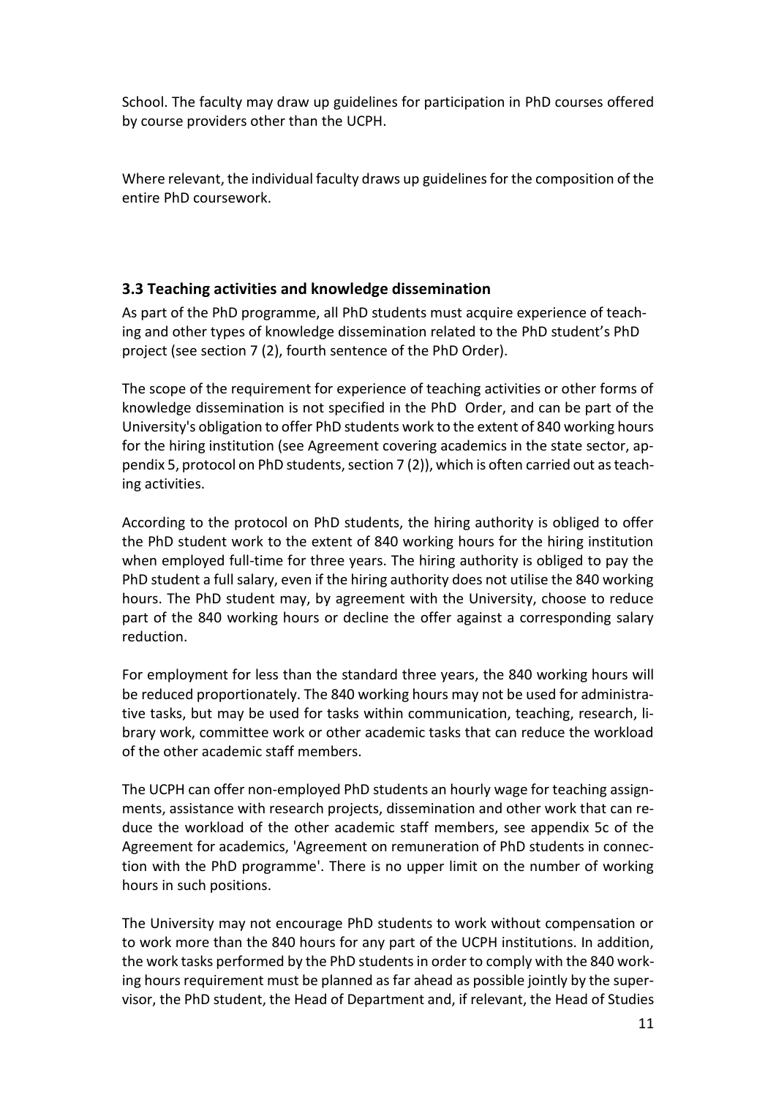School. The faculty may draw up guidelines for participation in PhD courses offered by course providers other than the UCPH.

Where relevant, the individual faculty draws up guidelinesfor the composition of the entire PhD coursework.

# <span id="page-10-0"></span>**3.3 Teaching activities and knowledge dissemination**

As part of the PhD programme, all PhD students must acquire experience of teaching and other types of knowledge dissemination related to the PhD student's PhD project (see section 7 (2), fourth sentence of the PhD Order).

The scope of the requirement for experience of teaching activities or other forms of knowledge dissemination is not specified in the PhD Order, and can be part of the University's obligation to offer PhD students work to the extent of 840 working hours for the hiring institution (see Agreement covering academics in the state sector, appendix 5, protocol on PhD students, section 7 (2)), which is often carried out asteaching activities.

According to the protocol on PhD students, the hiring authority is obliged to offer the PhD student work to the extent of 840 working hours for the hiring institution when employed full-time for three years. The hiring authority is obliged to pay the PhD student a full salary, even if the hiring authority does not utilise the 840 working hours. The PhD student may, by agreement with the University, choose to reduce part of the 840 working hours or decline the offer against a corresponding salary reduction.

For employment for less than the standard three years, the 840 working hours will be reduced proportionately. The 840 working hours may not be used for administrative tasks, but may be used for tasks within communication, teaching, research, library work, committee work or other academic tasks that can reduce the workload of the other academic staff members.

The UCPH can offer non-employed PhD students an hourly wage for teaching assignments, assistance with research projects, dissemination and other work that can reduce the workload of the other academic staff members, see appendix 5c of the Agreement for academics, 'Agreement on remuneration of PhD students in connection with the PhD programme'. There is no upper limit on the number of working hours in such positions.

The University may not encourage PhD students to work without compensation or to work more than the 840 hours for any part of the UCPH institutions. In addition, the work tasks performed by the PhD students in order to comply with the 840 working hours requirement must be planned as far ahead as possible jointly by the supervisor, the PhD student, the Head of Department and, if relevant, the Head of Studies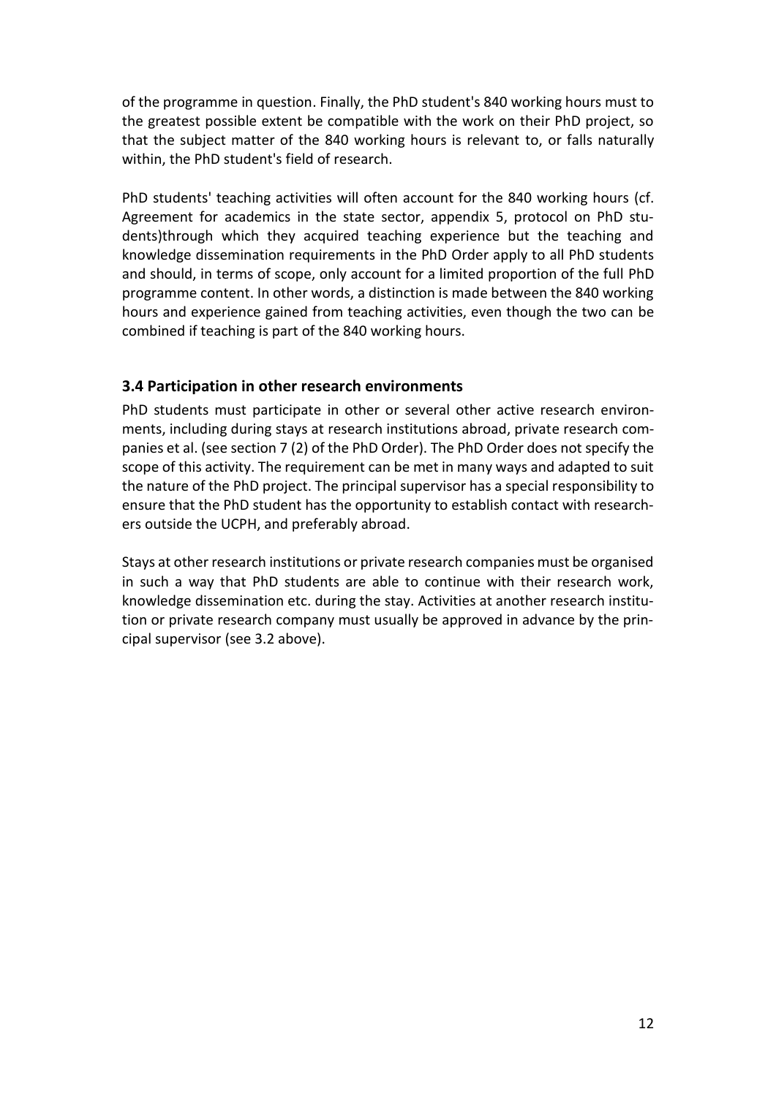of the programme in question. Finally, the PhD student's 840 working hours must to the greatest possible extent be compatible with the work on their PhD project, so that the subject matter of the 840 working hours is relevant to, or falls naturally within, the PhD student's field of research.

PhD students' teaching activities will often account for the 840 working hours (cf. Agreement for academics in the state sector, appendix 5, protocol on PhD students)through which they acquired teaching experience but the teaching and knowledge dissemination requirements in the PhD Order apply to all PhD students and should, in terms of scope, only account for a limited proportion of the full PhD programme content. In other words, a distinction is made between the 840 working hours and experience gained from teaching activities, even though the two can be combined if teaching is part of the 840 working hours.

### <span id="page-11-0"></span>**3.4 Participation in other research environments**

PhD students must participate in other or several other active research environments, including during stays at research institutions abroad, private research companies et al. (see section 7 (2) of the PhD Order). The PhD Order does not specify the scope of this activity. The requirement can be met in many ways and adapted to suit the nature of the PhD project. The principal supervisor has a special responsibility to ensure that the PhD student has the opportunity to establish contact with researchers outside the UCPH, and preferably abroad.

Stays at other research institutions or private research companies must be organised in such a way that PhD students are able to continue with their research work, knowledge dissemination etc. during the stay. Activities at another research institution or private research company must usually be approved in advance by the principal supervisor (see 3.2 above).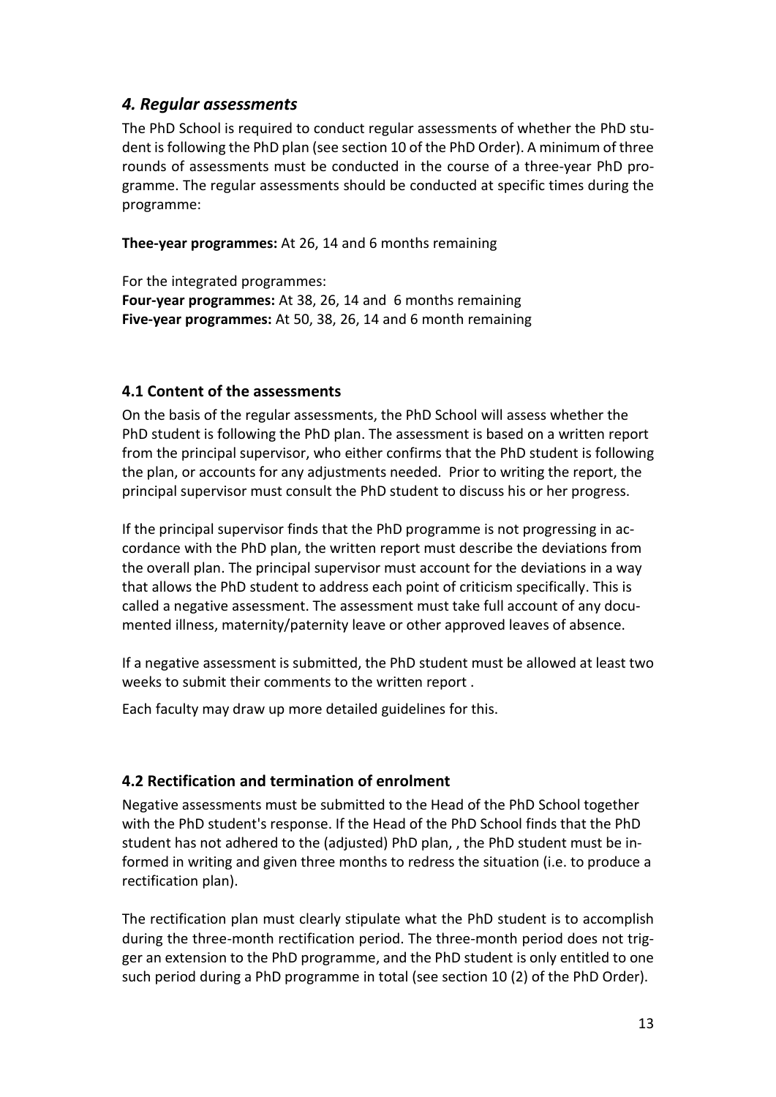# <span id="page-12-0"></span>*4. Regular assessments*

The PhD School is required to conduct regular assessments of whether the PhD student is following the PhD plan (see section 10 of the PhD Order). A minimum of three rounds of assessments must be conducted in the course of a three-year PhD programme. The regular assessments should be conducted at specific times during the programme:

**Thee-year programmes:** At 26, 14 and 6 months remaining

For the integrated programmes: **Four-year programmes:** At 38, 26, 14 and 6 months remaining **Five-year programmes:** At 50, 38, 26, 14 and 6 month remaining

### <span id="page-12-1"></span>**4.1 Content of the assessments**

On the basis of the regular assessments, the PhD School will assess whether the PhD student is following the PhD plan. The assessment is based on a written report from the principal supervisor, who either confirms that the PhD student is following the plan, or accounts for any adjustments needed. Prior to writing the report, the principal supervisor must consult the PhD student to discuss his or her progress.

If the principal supervisor finds that the PhD programme is not progressing in accordance with the PhD plan, the written report must describe the deviations from the overall plan. The principal supervisor must account for the deviations in a way that allows the PhD student to address each point of criticism specifically. This is called a negative assessment. The assessment must take full account of any documented illness, maternity/paternity leave or other approved leaves of absence.

If a negative assessment is submitted, the PhD student must be allowed at least two weeks to submit their comments to the written report .

<span id="page-12-2"></span>Each faculty may draw up more detailed guidelines for this.

# **4.2 Rectification and termination of enrolment**

Negative assessments must be submitted to the Head of the PhD School together with the PhD student's response. If the Head of the PhD School finds that the PhD student has not adhered to the (adjusted) PhD plan, , the PhD student must be informed in writing and given three months to redress the situation (i.e. to produce a rectification plan).

The rectification plan must clearly stipulate what the PhD student is to accomplish during the three-month rectification period. The three-month period does not trigger an extension to the PhD programme, and the PhD student is only entitled to one such period during a PhD programme in total (see section 10 (2) of the PhD Order).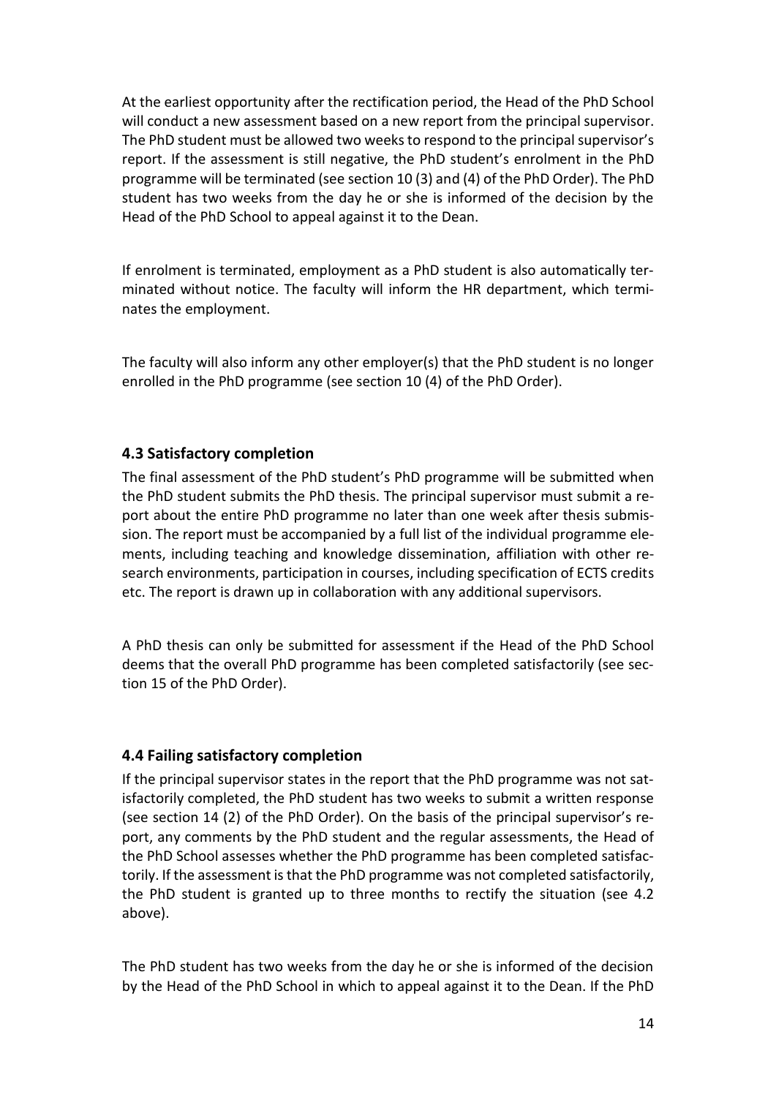At the earliest opportunity after the rectification period, the Head of the PhD School will conduct a new assessment based on a new report from the principal supervisor. The PhD student must be allowed two weeks to respond to the principal supervisor's report. If the assessment is still negative, the PhD student's enrolment in the PhD programme will be terminated (see section 10 (3) and (4) of the PhD Order). The PhD student has two weeks from the day he or she is informed of the decision by the Head of the PhD School to appeal against it to the Dean.

If enrolment is terminated, employment as a PhD student is also automatically terminated without notice. The faculty will inform the HR department, which terminates the employment.

The faculty will also inform any other employer(s) that the PhD student is no longer enrolled in the PhD programme (see section 10 (4) of the PhD Order).

### <span id="page-13-0"></span>**4.3 Satisfactory completion**

The final assessment of the PhD student's PhD programme will be submitted when the PhD student submits the PhD thesis. The principal supervisor must submit a report about the entire PhD programme no later than one week after thesis submission. The report must be accompanied by a full list of the individual programme elements, including teaching and knowledge dissemination, affiliation with other research environments, participation in courses, including specification of ECTS credits etc. The report is drawn up in collaboration with any additional supervisors.

A PhD thesis can only be submitted for assessment if the Head of the PhD School deems that the overall PhD programme has been completed satisfactorily (see section 15 of the PhD Order).

### <span id="page-13-1"></span>**4.4 Failing satisfactory completion**

If the principal supervisor states in the report that the PhD programme was not satisfactorily completed, the PhD student has two weeks to submit a written response (see section 14 (2) of the PhD Order). On the basis of the principal supervisor's report, any comments by the PhD student and the regular assessments, the Head of the PhD School assesses whether the PhD programme has been completed satisfactorily. If the assessment is that the PhD programme was not completed satisfactorily, the PhD student is granted up to three months to rectify the situation (see 4.2 above).

The PhD student has two weeks from the day he or she is informed of the decision by the Head of the PhD School in which to appeal against it to the Dean. If the PhD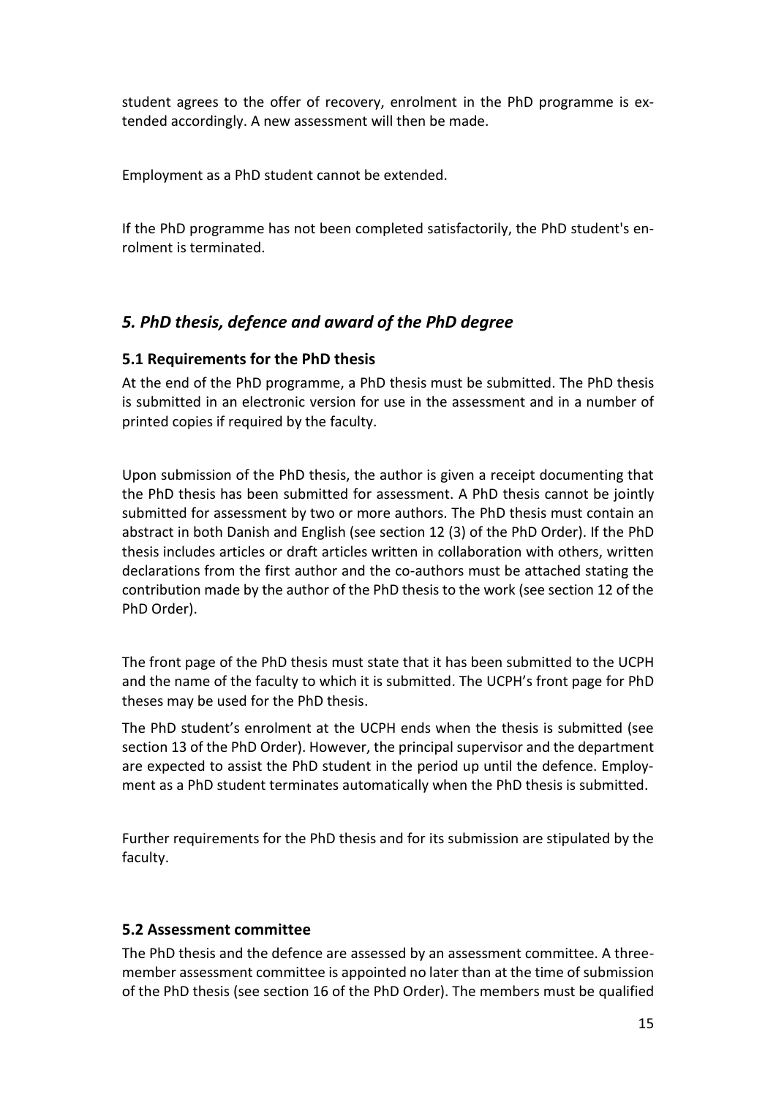student agrees to the offer of recovery, enrolment in the PhD programme is extended accordingly. A new assessment will then be made.

Employment as a PhD student cannot be extended.

<span id="page-14-0"></span>If the PhD programme has not been completed satisfactorily, the PhD student's enrolment is terminated.

# *5. PhD thesis, defence and award of the PhD degree*

### <span id="page-14-1"></span>**5.1 Requirements for the PhD thesis**

At the end of the PhD programme, a PhD thesis must be submitted. The PhD thesis is submitted in an electronic version for use in the assessment and in a number of printed copies if required by the faculty.

Upon submission of the PhD thesis, the author is given a receipt documenting that the PhD thesis has been submitted for assessment. A PhD thesis cannot be jointly submitted for assessment by two or more authors. The PhD thesis must contain an abstract in both Danish and English (see section 12 (3) of the PhD Order). If the PhD thesis includes articles or draft articles written in collaboration with others, written declarations from the first author and the co-authors must be attached stating the contribution made by the author of the PhD thesis to the work (see section 12 of the PhD Order).

The front page of the PhD thesis must state that it has been submitted to the UCPH and the name of the faculty to which it is submitted. The UCPH's front page for PhD theses may be used for the PhD thesis.

The PhD student's enrolment at the UCPH ends when the thesis is submitted (see section 13 of the PhD Order). However, the principal supervisor and the department are expected to assist the PhD student in the period up until the defence. Employment as a PhD student terminates automatically when the PhD thesis is submitted.

Further requirements for the PhD thesis and for its submission are stipulated by the faculty.

### <span id="page-14-2"></span>**5.2 Assessment committee**

The PhD thesis and the defence are assessed by an assessment committee. A threemember assessment committee is appointed no later than at the time of submission of the PhD thesis (see section 16 of the PhD Order). The members must be qualified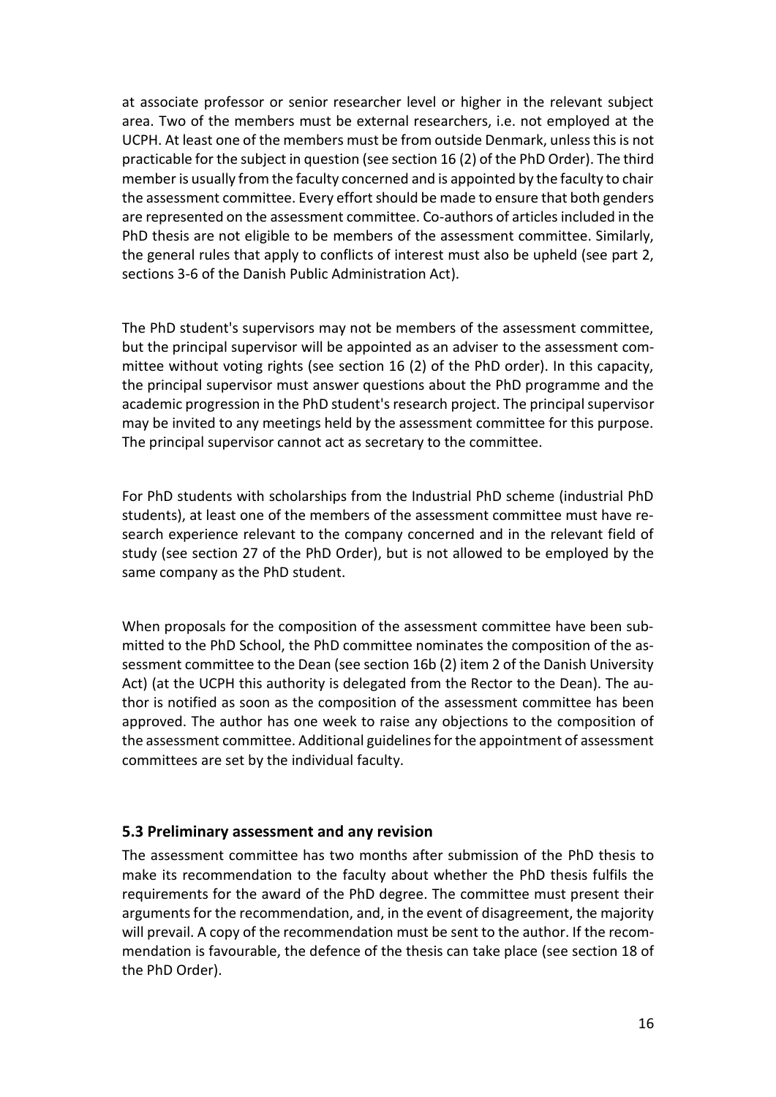at associate professor or senior researcher level or higher in the relevant subject area. Two of the members must be external researchers, i.e. not employed at the UCPH. At least one of the members must be from outside Denmark, unless this is not practicable for the subject in question (see section 16 (2) of the PhD Order). The third member is usually from the faculty concerned and is appointed by the faculty to chair the assessment committee. Every effort should be made to ensure that both genders are represented on the assessment committee. Co-authors of articles included in the PhD thesis are not eligible to be members of the assessment committee. Similarly, the general rules that apply to conflicts of interest must also be upheld (see part 2, sections 3-6 of the Danish Public Administration Act).

The PhD student's supervisors may not be members of the assessment committee, but the principal supervisor will be appointed as an adviser to the assessment committee without voting rights (see section 16 (2) of the PhD order). In this capacity, the principal supervisor must answer questions about the PhD programme and the academic progression in the PhD student's research project. The principal supervisor may be invited to any meetings held by the assessment committee for this purpose. The principal supervisor cannot act as secretary to the committee.

For PhD students with scholarships from the Industrial PhD scheme (industrial PhD students), at least one of the members of the assessment committee must have research experience relevant to the company concerned and in the relevant field of study (see section 27 of the PhD Order), but is not allowed to be employed by the same company as the PhD student.

When proposals for the composition of the assessment committee have been submitted to the PhD School, the PhD committee nominates the composition of the assessment committee to the Dean (see section 16b (2) item 2 of the Danish University Act) (at the UCPH this authority is delegated from the Rector to the Dean). The author is notified as soon as the composition of the assessment committee has been approved. The author has one week to raise any objections to the composition of the assessment committee. Additional guidelinesfor the appointment of assessment committees are set by the individual faculty.

### <span id="page-15-0"></span>**5.3 Preliminary assessment and any revision**

The assessment committee has two months after submission of the PhD thesis to make its recommendation to the faculty about whether the PhD thesis fulfils the requirements for the award of the PhD degree. The committee must present their arguments for the recommendation, and, in the event of disagreement, the majority will prevail. A copy of the recommendation must be sent to the author. If the recommendation is favourable, the defence of the thesis can take place (see section 18 of the PhD Order).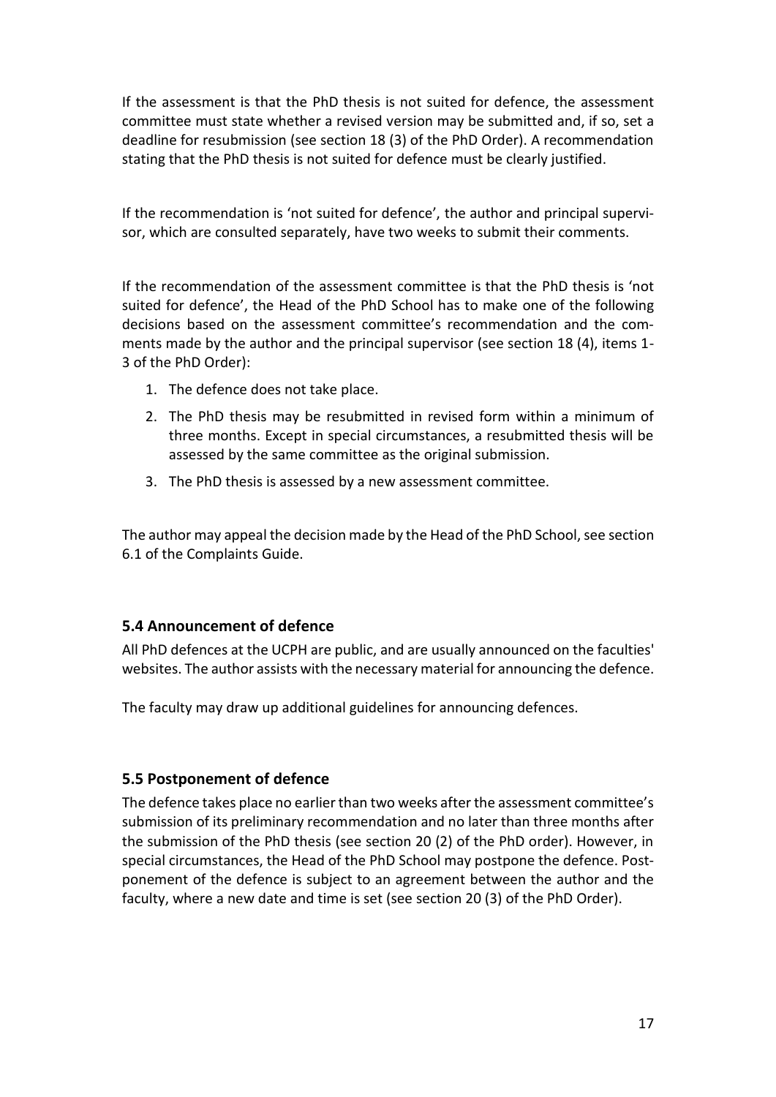If the assessment is that the PhD thesis is not suited for defence, the assessment committee must state whether a revised version may be submitted and, if so, set a deadline for resubmission (see section 18 (3) of the PhD Order). A recommendation stating that the PhD thesis is not suited for defence must be clearly justified.

If the recommendation is 'not suited for defence', the author and principal supervisor, which are consulted separately, have two weeks to submit their comments.

If the recommendation of the assessment committee is that the PhD thesis is 'not suited for defence', the Head of the PhD School has to make one of the following decisions based on the assessment committee's recommendation and the comments made by the author and the principal supervisor (see section 18 (4), items 1- 3 of the PhD Order):

- 1. The defence does not take place.
- 2. The PhD thesis may be resubmitted in revised form within a minimum of three months. Except in special circumstances, a resubmitted thesis will be assessed by the same committee as the original submission.
- 3. The PhD thesis is assessed by a new assessment committee.

<span id="page-16-0"></span>The author may appeal the decision made by the Head of the PhD School, see section 6.1 of the Complaints Guide.

### **5.4 Announcement of defence**

All PhD defences at the UCPH are public, and are usually announced on the faculties' websites. The author assists with the necessary material for announcing the defence.

<span id="page-16-1"></span>The faculty may draw up additional guidelines for announcing defences.

### **5.5 Postponement of defence**

The defence takes place no earlier than two weeks after the assessment committee's submission of its preliminary recommendation and no later than three months after the submission of the PhD thesis (see section 20 (2) of the PhD order). However, in special circumstances, the Head of the PhD School may postpone the defence. Postponement of the defence is subject to an agreement between the author and the faculty, where a new date and time is set (see section 20 (3) of the PhD Order).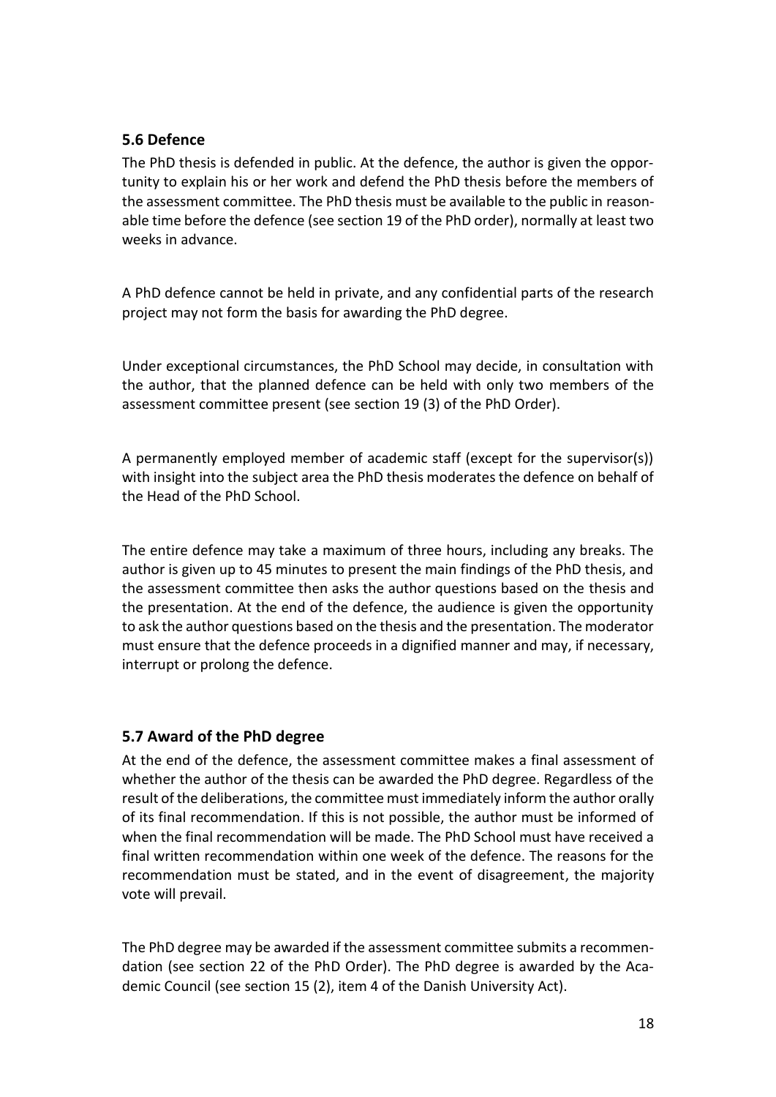### <span id="page-17-0"></span>**5.6 Defence**

The PhD thesis is defended in public. At the defence, the author is given the opportunity to explain his or her work and defend the PhD thesis before the members of the assessment committee. The PhD thesis must be available to the public in reasonable time before the defence (see section 19 of the PhD order), normally at least two weeks in advance.

A PhD defence cannot be held in private, and any confidential parts of the research project may not form the basis for awarding the PhD degree.

Under exceptional circumstances, the PhD School may decide, in consultation with the author, that the planned defence can be held with only two members of the assessment committee present (see section 19 (3) of the PhD Order).

A permanently employed member of academic staff (except for the supervisor(s)) with insight into the subject area the PhD thesis moderates the defence on behalf of the Head of the PhD School.

The entire defence may take a maximum of three hours, including any breaks. The author is given up to 45 minutes to present the main findings of the PhD thesis, and the assessment committee then asks the author questions based on the thesis and the presentation. At the end of the defence, the audience is given the opportunity to ask the author questions based on the thesis and the presentation. The moderator must ensure that the defence proceeds in a dignified manner and may, if necessary, interrupt or prolong the defence.

# <span id="page-17-1"></span>**5.7 Award of the PhD degree**

At the end of the defence, the assessment committee makes a final assessment of whether the author of the thesis can be awarded the PhD degree. Regardless of the result of the deliberations, the committee must immediately inform the author orally of its final recommendation. If this is not possible, the author must be informed of when the final recommendation will be made. The PhD School must have received a final written recommendation within one week of the defence. The reasons for the recommendation must be stated, and in the event of disagreement, the majority vote will prevail.

The PhD degree may be awarded if the assessment committee submits a recommendation (see section 22 of the PhD Order). The PhD degree is awarded by the Academic Council (see section 15 (2), item 4 of the Danish University Act).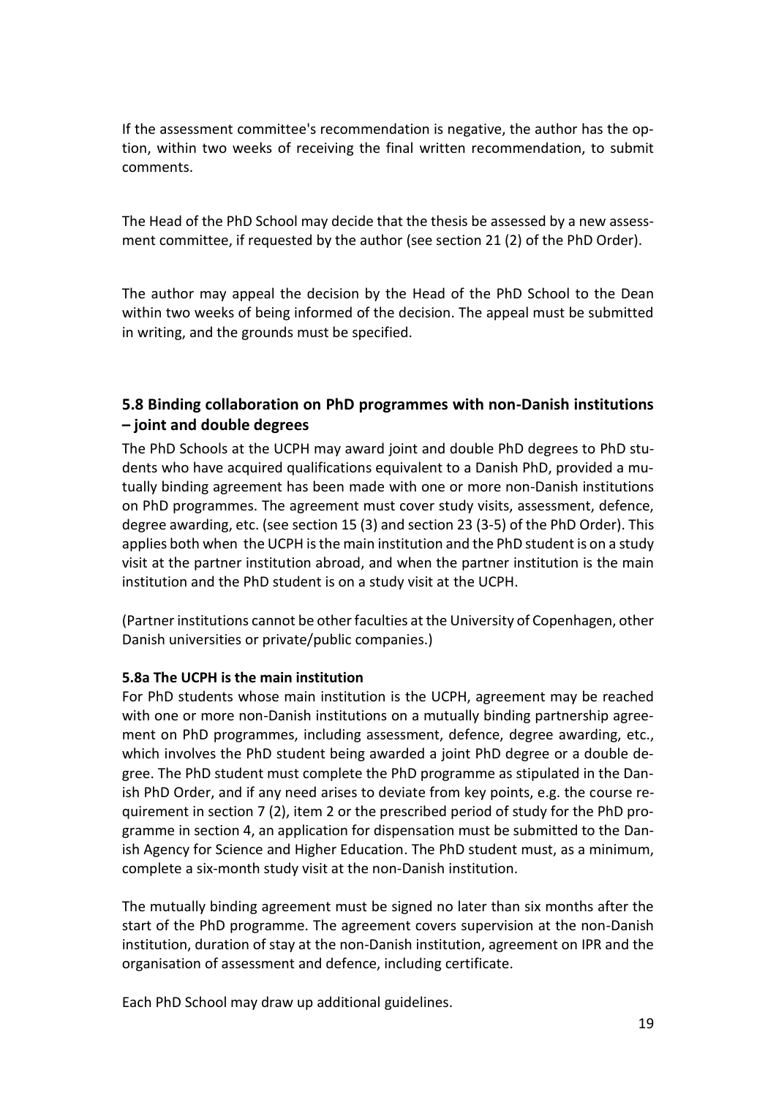If the assessment committee's recommendation is negative, the author has the option, within two weeks of receiving the final written recommendation, to submit comments.

The Head of the PhD School may decide that the thesis be assessed by a new assessment committee, if requested by the author (see section 21 (2) of the PhD Order).

The author may appeal the decision by the Head of the PhD School to the Dean within two weeks of being informed of the decision. The appeal must be submitted in writing, and the grounds must be specified.

# <span id="page-18-0"></span>**5.8 Binding collaboration on PhD programmes with non-Danish institutions – joint and double degrees**

The PhD Schools at the UCPH may award joint and double PhD degrees to PhD students who have acquired qualifications equivalent to a Danish PhD, provided a mutually binding agreement has been made with one or more non-Danish institutions on PhD programmes. The agreement must cover study visits, assessment, defence, degree awarding, etc. (see section 15 (3) and section 23 (3-5) of the PhD Order). This applies both when the UCPH is the main institution and the PhD student is on a study visit at the partner institution abroad, and when the partner institution is the main institution and the PhD student is on a study visit at the UCPH.

(Partner institutions cannot be other faculties at the University of Copenhagen, other Danish universities or private/public companies.)

### **5.8a The UCPH is the main institution**

For PhD students whose main institution is the UCPH, agreement may be reached with one or more non-Danish institutions on a mutually binding partnership agreement on PhD programmes, including assessment, defence, degree awarding, etc., which involves the PhD student being awarded a joint PhD degree or a double degree. The PhD student must complete the PhD programme as stipulated in the Danish PhD Order, and if any need arises to deviate from key points, e.g. the course requirement in section 7 (2), item 2 or the prescribed period of study for the PhD programme in section 4, an application for dispensation must be submitted to the Danish Agency for Science and Higher Education. The PhD student must, as a minimum, complete a six-month study visit at the non-Danish institution.

The mutually binding agreement must be signed no later than six months after the start of the PhD programme. The agreement covers supervision at the non-Danish institution, duration of stay at the non-Danish institution, agreement on IPR and the organisation of assessment and defence, including certificate.

Each PhD School may draw up additional guidelines.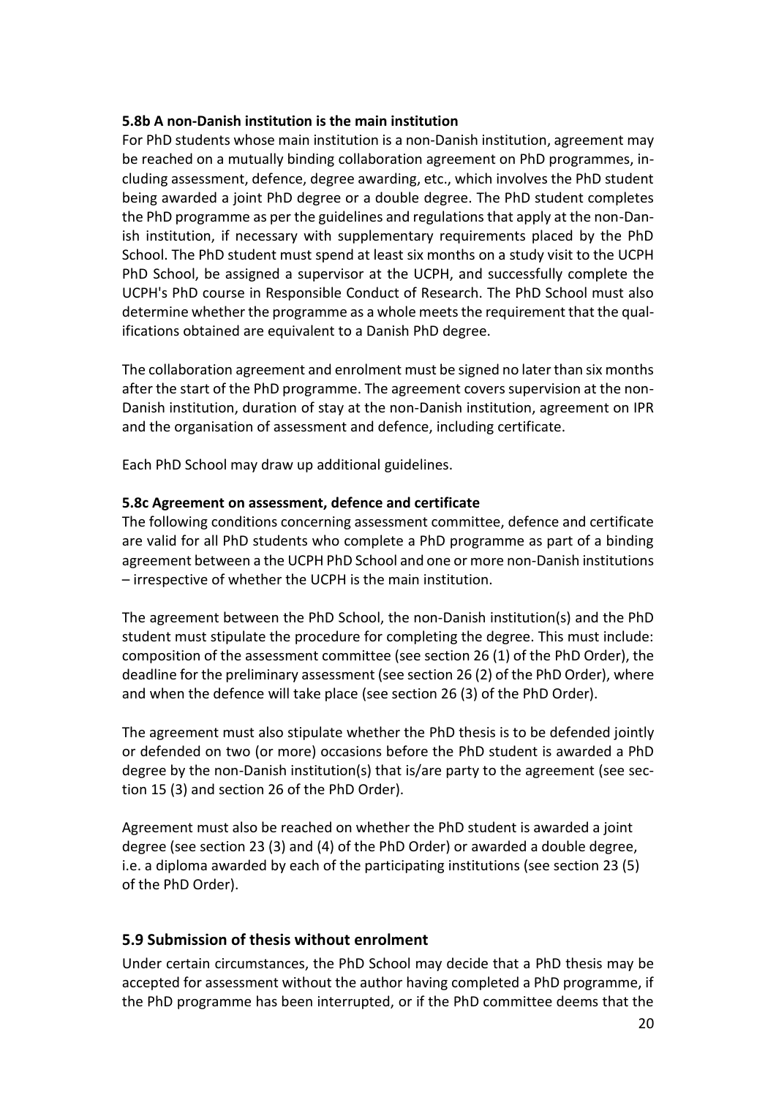### **5.8b A non-Danish institution is the main institution**

For PhD students whose main institution is a non-Danish institution, agreement may be reached on a mutually binding collaboration agreement on PhD programmes, including assessment, defence, degree awarding, etc., which involves the PhD student being awarded a joint PhD degree or a double degree. The PhD student completes the PhD programme as per the guidelines and regulations that apply at the non-Danish institution, if necessary with supplementary requirements placed by the PhD School. The PhD student must spend at least six months on a study visit to the UCPH PhD School, be assigned a supervisor at the UCPH, and successfully complete the UCPH's PhD course in Responsible Conduct of Research. The PhD School must also determine whether the programme as a whole meets the requirement that the qualifications obtained are equivalent to a Danish PhD degree.

The collaboration agreement and enrolment must be signed no later than six months after the start of the PhD programme. The agreement covers supervision at the non-Danish institution, duration of stay at the non-Danish institution, agreement on IPR and the organisation of assessment and defence, including certificate.

Each PhD School may draw up additional guidelines.

### **5.8c Agreement on assessment, defence and certificate**

The following conditions concerning assessment committee, defence and certificate are valid for all PhD students who complete a PhD programme as part of a binding agreement between a the UCPH PhD School and one or more non-Danish institutions – irrespective of whether the UCPH is the main institution.

The agreement between the PhD School, the non-Danish institution(s) and the PhD student must stipulate the procedure for completing the degree. This must include: composition of the assessment committee (see section 26 (1) of the PhD Order), the deadline for the preliminary assessment (see section 26 (2) of the PhD Order), where and when the defence will take place (see section 26 (3) of the PhD Order).

The agreement must also stipulate whether the PhD thesis is to be defended jointly or defended on two (or more) occasions before the PhD student is awarded a PhD degree by the non-Danish institution(s) that is/are party to the agreement (see section 15 (3) and section 26 of the PhD Order).

Agreement must also be reached on whether the PhD student is awarded a joint degree (see section 23 (3) and (4) of the PhD Order) or awarded a double degree, i.e. a diploma awarded by each of the participating institutions (see section 23 (5) of the PhD Order).

### <span id="page-19-0"></span>**5.9 Submission of thesis without enrolment**

Under certain circumstances, the PhD School may decide that a PhD thesis may be accepted for assessment without the author having completed a PhD programme, if the PhD programme has been interrupted, or if the PhD committee deems that the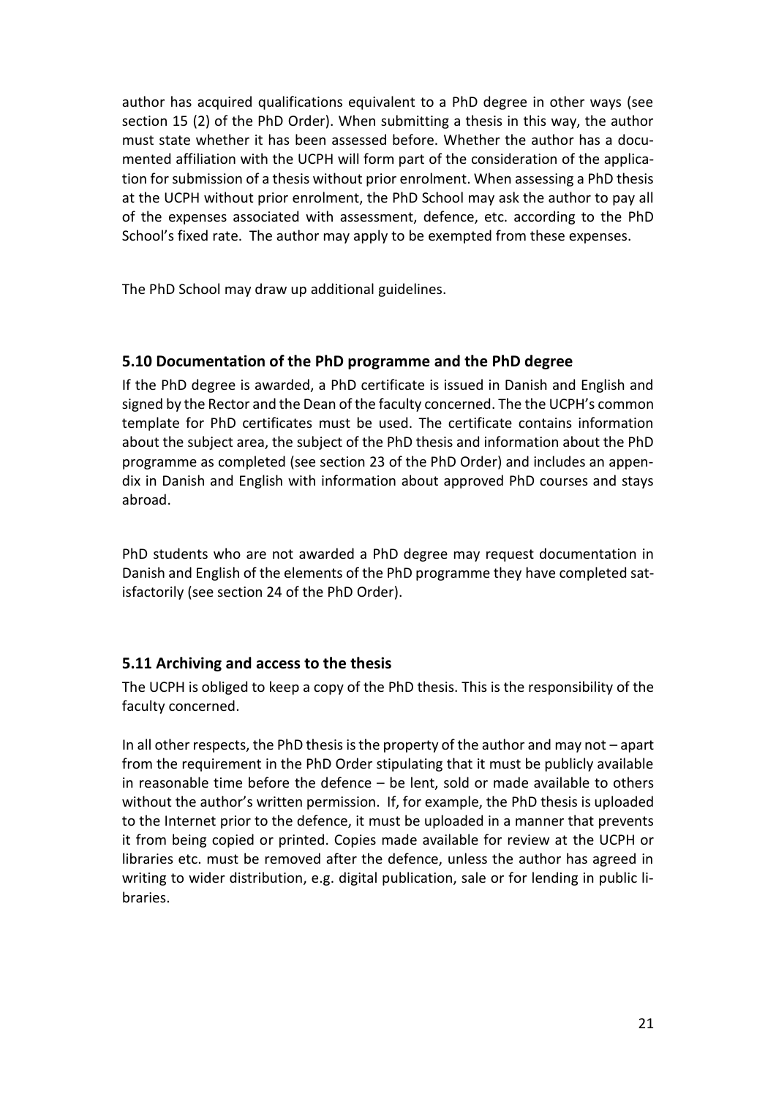author has acquired qualifications equivalent to a PhD degree in other ways (see section 15 (2) of the PhD Order). When submitting a thesis in this way, the author must state whether it has been assessed before. Whether the author has a documented affiliation with the UCPH will form part of the consideration of the application for submission of a thesis without prior enrolment. When assessing a PhD thesis at the UCPH without prior enrolment, the PhD School may ask the author to pay all of the expenses associated with assessment, defence, etc. according to the PhD School's fixed rate. The author may apply to be exempted from these expenses.

The PhD School may draw up additional guidelines.

### <span id="page-20-0"></span>**5.10 Documentation of the PhD programme and the PhD degree**

If the PhD degree is awarded, a PhD certificate is issued in Danish and English and signed by the Rector and the Dean of the faculty concerned. The the UCPH's common template for PhD certificates must be used. The certificate contains information about the subject area, the subject of the PhD thesis and information about the PhD programme as completed (see section 23 of the PhD Order) and includes an appendix in Danish and English with information about approved PhD courses and stays abroad.

PhD students who are not awarded a PhD degree may request documentation in Danish and English of the elements of the PhD programme they have completed satisfactorily (see section 24 of the PhD Order).

### <span id="page-20-1"></span>**5.11 Archiving and access to the thesis**

The UCPH is obliged to keep a copy of the PhD thesis. This is the responsibility of the faculty concerned.

In all other respects, the PhD thesis is the property of the author and may not – apart from the requirement in the PhD Order stipulating that it must be publicly available in reasonable time before the defence – be lent, sold or made available to others without the author's written permission. If, for example, the PhD thesis is uploaded to the Internet prior to the defence, it must be uploaded in a manner that prevents it from being copied or printed. Copies made available for review at the UCPH or libraries etc. must be removed after the defence, unless the author has agreed in writing to wider distribution, e.g. digital publication, sale or for lending in public libraries.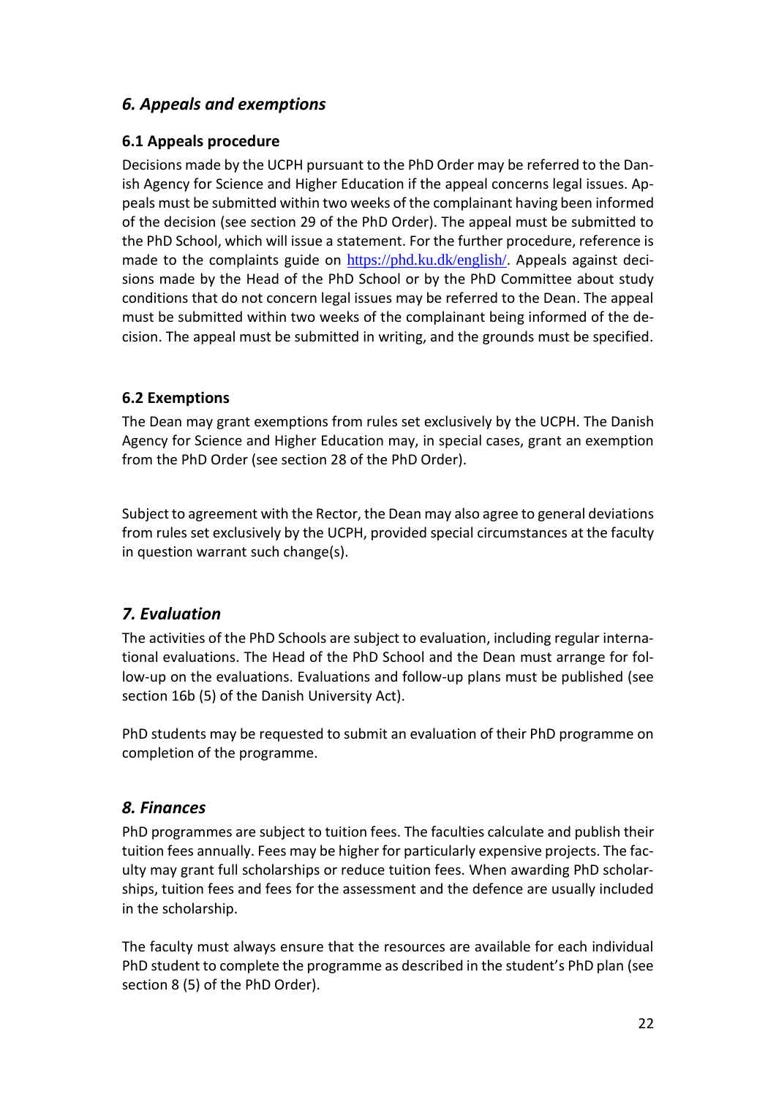# <span id="page-21-0"></span>*6. Appeals and exemptions*

# <span id="page-21-1"></span>**6.1 Appeals procedure**

Decisions made by the UCPH pursuant to the PhD Order may be referred to the Danish Agency for Science and Higher Education if the appeal concerns legal issues. Appeals must be submitted within two weeks of the complainant having been informed of the decision (see section 29 of the PhD Order). The appeal must be submitted to the PhD School, which will issue a statement. For the further procedure, reference is made to the complaints guide on <https://phd.ku.dk/english/>. Appeals against decisions made by the Head of the PhD School or by the PhD Committee about study conditions that do not concern legal issues may be referred to the Dean. The appeal must be submitted within two weeks of the complainant being informed of the decision. The appeal must be submitted in writing, and the grounds must be specified.

# <span id="page-21-2"></span>**6.2 Exemptions**

The Dean may grant exemptions from rules set exclusively by the UCPH. The Danish Agency for Science and Higher Education may, in special cases, grant an exemption from the PhD Order (see section 28 of the PhD Order).

Subject to agreement with the Rector, the Dean may also agree to general deviations from rules set exclusively by the UCPH, provided special circumstances at the faculty in question warrant such change(s).

# <span id="page-21-3"></span>*7. Evaluation*

The activities of the PhD Schools are subject to evaluation, including regular international evaluations. The Head of the PhD School and the Dean must arrange for follow-up on the evaluations. Evaluations and follow-up plans must be published (see section 16b (5) of the Danish University Act).

PhD students may be requested to submit an evaluation of their PhD programme on completion of the programme.

# <span id="page-21-4"></span>*8. Finances*

PhD programmes are subject to tuition fees. The faculties calculate and publish their tuition fees annually. Fees may be higher for particularly expensive projects. The faculty may grant full scholarships or reduce tuition fees. When awarding PhD scholarships, tuition fees and fees for the assessment and the defence are usually included in the scholarship.

The faculty must always ensure that the resources are available for each individual PhD student to complete the programme as described in the student's PhD plan (see section 8 (5) of the PhD Order).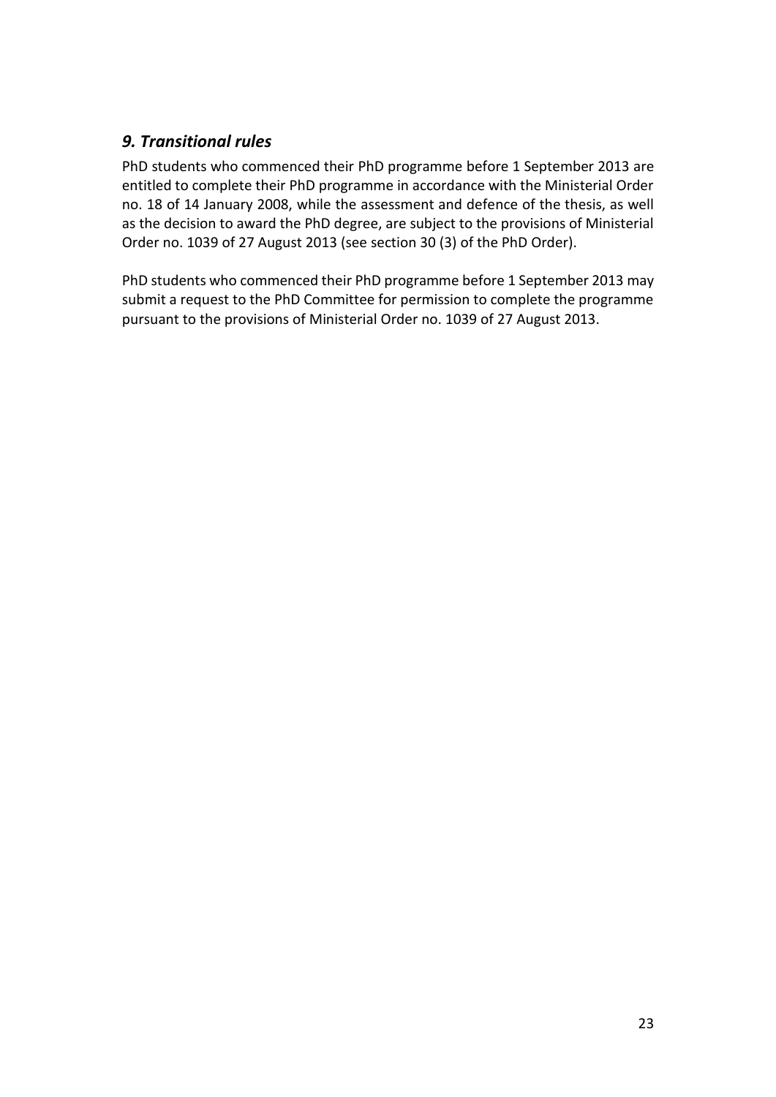# <span id="page-22-0"></span>*9. Transitional rules*

PhD students who commenced their PhD programme before 1 September 2013 are entitled to complete their PhD programme in accordance with the Ministerial Order no. 18 of 14 January 2008, while the assessment and defence of the thesis, as well as the decision to award the PhD degree, are subject to the provisions of Ministerial Order no. 1039 of 27 August 2013 (see section 30 (3) of the PhD Order).

PhD students who commenced their PhD programme before 1 September 2013 may submit a request to the PhD Committee for permission to complete the programme pursuant to the provisions of Ministerial Order no. 1039 of 27 August 2013.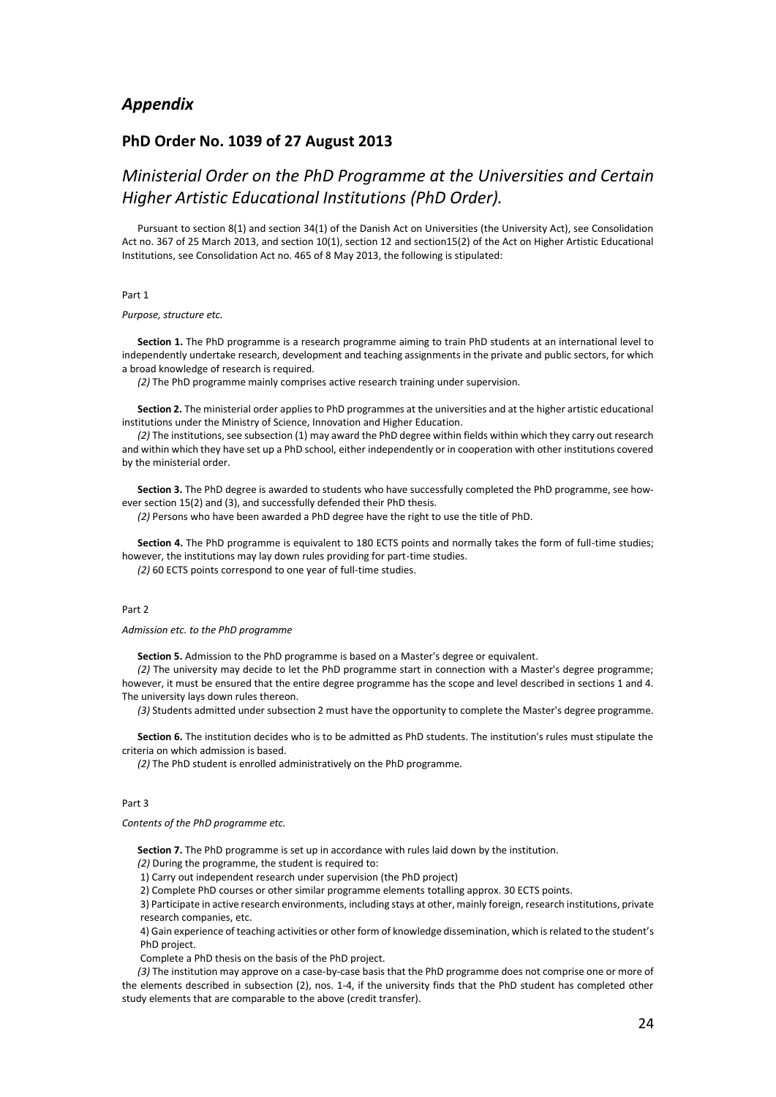#### <span id="page-23-0"></span>*Appendix*

#### <span id="page-23-1"></span>**PhD Order No. 1039 of 27 August 2013**

# *Ministerial Order on the PhD Programme at the Universities and Certain Higher Artistic Educational Institutions (PhD Order).*

Pursuant to section 8(1) and section 34(1) of the Danish Act on Universities (the University Act), see Consolidation Act no. 367 of 25 March 2013, and section 10(1), section 12 and section15(2) of the Act on Higher Artistic Educational Institutions, see Consolidation Act no. 465 of 8 May 2013, the following is stipulated:

#### Part 1

#### *Purpose, structure etc.*

**Section 1.** The PhD programme is a research programme aiming to train PhD students at an international level to independently undertake research, development and teaching assignments in the private and public sectors, for which a broad knowledge of research is required.

*(2)* The PhD programme mainly comprises active research training under supervision.

**Section 2.** The ministerial order applies to PhD programmes at the universities and at the higher artistic educational institutions under the Ministry of Science, Innovation and Higher Education.

*(2)* The institutions, see subsection (1) may award the PhD degree within fields within which they carry out research and within which they have set up a PhD school, either independently or in cooperation with other institutions covered by the ministerial order.

**Section 3.** The PhD degree is awarded to students who have successfully completed the PhD programme, see however section 15(2) and (3), and successfully defended their PhD thesis.

*(2)* Persons who have been awarded a PhD degree have the right to use the title of PhD.

**Section 4.** The PhD programme is equivalent to 180 ECTS points and normally takes the form of full-time studies; however, the institutions may lay down rules providing for part-time studies.

*(2)* 60 ECTS points correspond to one year of full-time studies.

#### Part 2

*Admission etc. to the PhD programme*

**Section 5.** Admission to the PhD programme is based on a Master's degree or equivalent.

*(2)* The university may decide to let the PhD programme start in connection with a Master's degree programme; however, it must be ensured that the entire degree programme has the scope and level described in sections 1 and 4. The university lays down rules thereon.

*(3)* Students admitted under subsection 2 must have the opportunity to complete the Master's degree programme.

**Section 6.** The institution decides who is to be admitted as PhD students. The institution's rules must stipulate the criteria on which admission is based.

*(2)* The PhD student is enrolled administratively on the PhD programme.

#### Part 3

*Contents of the PhD programme etc.*

**Section 7.** The PhD programme is set up in accordance with rules laid down by the institution.

*(2)* During the programme, the student is required to:

1) Carry out independent research under supervision (the PhD project)

2) Complete PhD courses or other similar programme elements totalling approx. 30 ECTS points.

3) Participate in active research environments, including stays at other, mainly foreign, research institutions, private research companies, etc.

4) Gain experience of teaching activities or other form of knowledge dissemination, which is related to the student's PhD project.

Complete a PhD thesis on the basis of the PhD project.

*(3)* The institution may approve on a case-by-case basis that the PhD programme does not comprise one or more of the elements described in subsection (2), nos. 1-4, if the university finds that the PhD student has completed other study elements that are comparable to the above (credit transfer).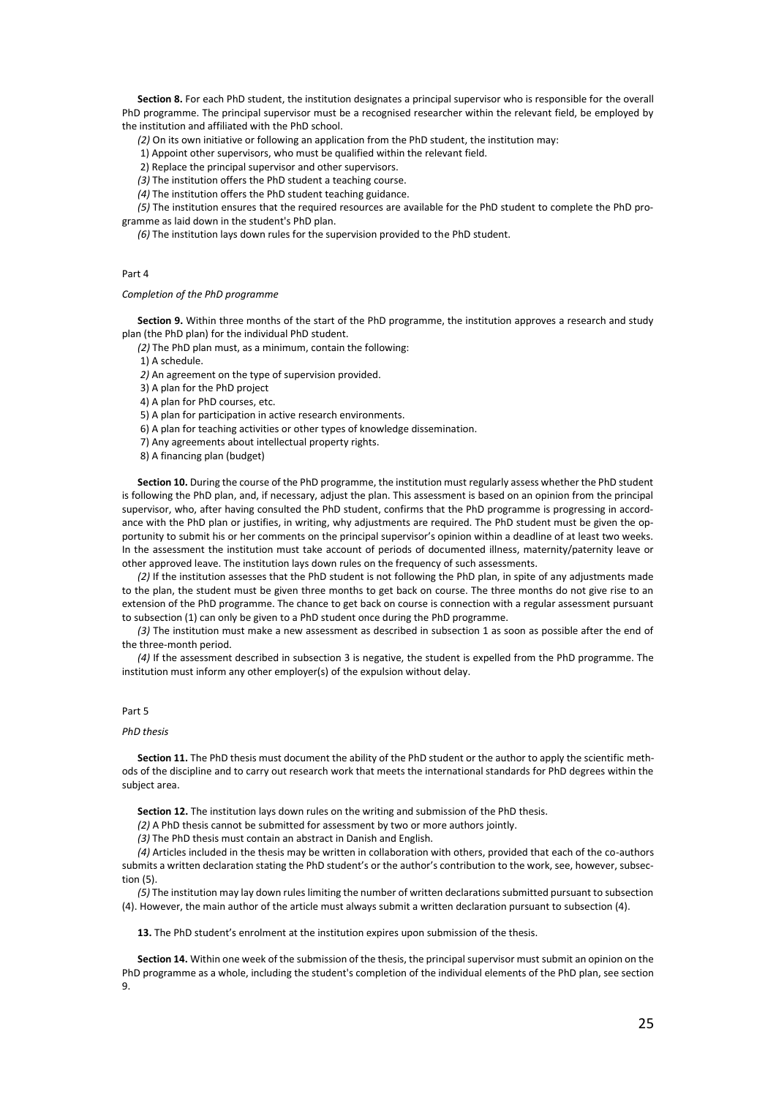**Section 8.** For each PhD student, the institution designates a principal supervisor who is responsible for the overall PhD programme. The principal supervisor must be a recognised researcher within the relevant field, be employed by the institution and affiliated with the PhD school.

*(2)* On its own initiative or following an application from the PhD student, the institution may:

1) Appoint other supervisors, who must be qualified within the relevant field.

2) Replace the principal supervisor and other supervisors.

*(3)* The institution offers the PhD student a teaching course.

*(4)* The institution offers the PhD student teaching guidance.

*(5)* The institution ensures that the required resources are available for the PhD student to complete the PhD programme as laid down in the student's PhD plan.

*(6)* The institution lays down rules for the supervision provided to the PhD student.

#### Part 4

#### *Completion of the PhD programme*

**Section 9.** Within three months of the start of the PhD programme, the institution approves a research and study plan (the PhD plan) for the individual PhD student.

*(2)* The PhD plan must, as a minimum, contain the following:

1) A schedule.

*2)* An agreement on the type of supervision provided.

3) A plan for the PhD project

4) A plan for PhD courses, etc.

5) A plan for participation in active research environments.

6) A plan for teaching activities or other types of knowledge dissemination.

7) Any agreements about intellectual property rights.

8) A financing plan (budget)

**Section 10.** During the course of the PhD programme, the institution must regularly assess whether the PhD student is following the PhD plan, and, if necessary, adjust the plan. This assessment is based on an opinion from the principal supervisor, who, after having consulted the PhD student, confirms that the PhD programme is progressing in accordance with the PhD plan or justifies, in writing, why adjustments are required. The PhD student must be given the opportunity to submit his or her comments on the principal supervisor's opinion within a deadline of at least two weeks. In the assessment the institution must take account of periods of documented illness, maternity/paternity leave or other approved leave. The institution lays down rules on the frequency of such assessments.

*(2)* If the institution assesses that the PhD student is not following the PhD plan, in spite of any adjustments made to the plan, the student must be given three months to get back on course. The three months do not give rise to an extension of the PhD programme. The chance to get back on course is connection with a regular assessment pursuant to subsection (1) can only be given to a PhD student once during the PhD programme.

*(3)* The institution must make a new assessment as described in subsection 1 as soon as possible after the end of the three-month period.

*(4)* If the assessment described in subsection 3 is negative, the student is expelled from the PhD programme. The institution must inform any other employer(s) of the expulsion without delay.

#### Part 5

#### *PhD thesis*

**Section 11.** The PhD thesis must document the ability of the PhD student or the author to apply the scientific methods of the discipline and to carry out research work that meets the international standards for PhD degrees within the subject area.

**Section 12.** The institution lays down rules on the writing and submission of the PhD thesis.

*(2)* A PhD thesis cannot be submitted for assessment by two or more authors jointly.

*(3)* The PhD thesis must contain an abstract in Danish and English.

*(4)* Articles included in the thesis may be written in collaboration with others, provided that each of the co-authors submits a written declaration stating the PhD student's or the author's contribution to the work, see, however, subsection (5).

*(5)* The institution may lay down rules limiting the number of written declarations submitted pursuant to subsection (4). However, the main author of the article must always submit a written declaration pursuant to subsection (4).

**13.** The PhD student's enrolment at the institution expires upon submission of the thesis.

**Section 14.** Within one week of the submission of the thesis, the principal supervisor must submit an opinion on the PhD programme as a whole, including the student's completion of the individual elements of the PhD plan, see section 9.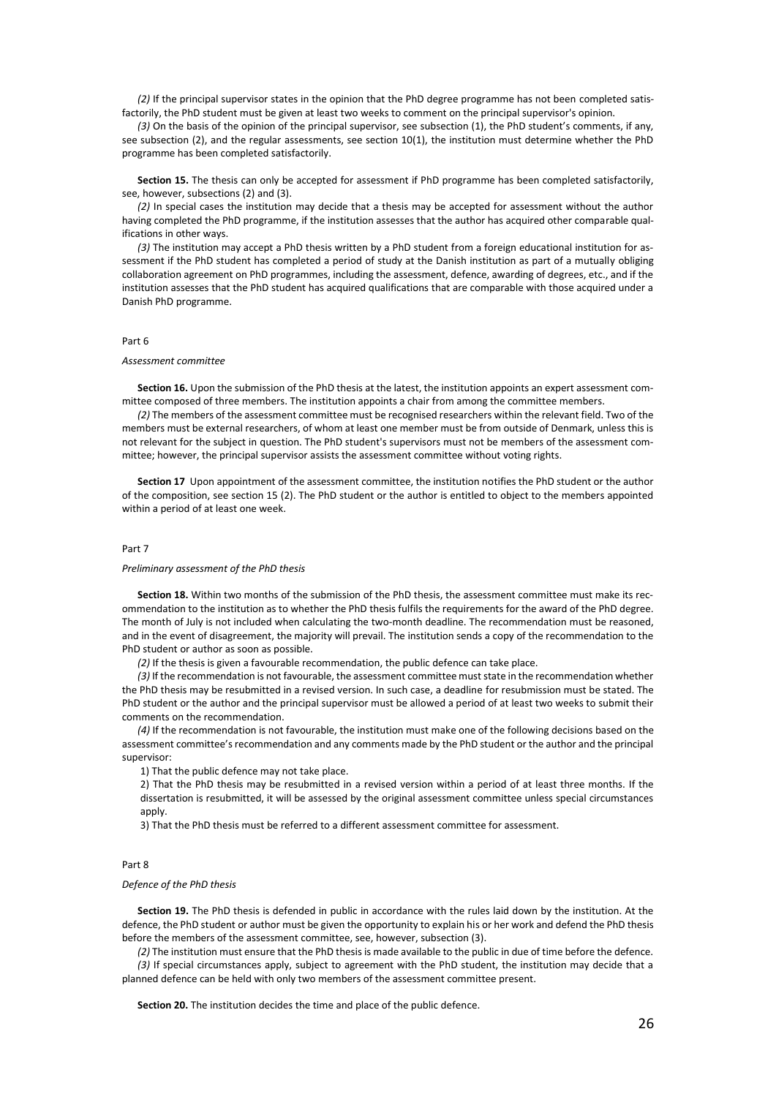*(2)* If the principal supervisor states in the opinion that the PhD degree programme has not been completed satisfactorily, the PhD student must be given at least two weeks to comment on the principal supervisor's opinion.

*(3)* On the basis of the opinion of the principal supervisor, see subsection (1), the PhD student's comments, if any, see subsection (2), and the regular assessments, see section 10(1), the institution must determine whether the PhD programme has been completed satisfactorily.

**Section 15.** The thesis can only be accepted for assessment if PhD programme has been completed satisfactorily, see, however, subsections (2) and (3).

*(2)* In special cases the institution may decide that a thesis may be accepted for assessment without the author having completed the PhD programme, if the institution assesses that the author has acquired other comparable qualifications in other ways.

*(3)* The institution may accept a PhD thesis written by a PhD student from a foreign educational institution for assessment if the PhD student has completed a period of study at the Danish institution as part of a mutually obliging collaboration agreement on PhD programmes, including the assessment, defence, awarding of degrees, etc., and if the institution assesses that the PhD student has acquired qualifications that are comparable with those acquired under a Danish PhD programme.

#### Part 6

#### *Assessment committee*

**Section 16.** Upon the submission of the PhD thesis at the latest, the institution appoints an expert assessment committee composed of three members. The institution appoints a chair from among the committee members.

*(2)* The members of the assessment committee must be recognised researchers within the relevant field. Two of the members must be external researchers, of whom at least one member must be from outside of Denmark, unless this is not relevant for the subject in question. The PhD student's supervisors must not be members of the assessment committee; however, the principal supervisor assists the assessment committee without voting rights.

**Section 17** Upon appointment of the assessment committee, the institution notifies the PhD student or the author of the composition, see section 15 (2). The PhD student or the author is entitled to object to the members appointed within a period of at least one week.

#### Part 7

#### *Preliminary assessment of the PhD thesis*

**Section 18.** Within two months of the submission of the PhD thesis, the assessment committee must make its recommendation to the institution as to whether the PhD thesis fulfils the requirements for the award of the PhD degree. The month of July is not included when calculating the two-month deadline. The recommendation must be reasoned, and in the event of disagreement, the majority will prevail. The institution sends a copy of the recommendation to the PhD student or author as soon as possible.

*(2)* If the thesis is given a favourable recommendation, the public defence can take place.

*(3)* If the recommendation is not favourable, the assessment committee must state in the recommendation whether the PhD thesis may be resubmitted in a revised version. In such case, a deadline for resubmission must be stated. The PhD student or the author and the principal supervisor must be allowed a period of at least two weeks to submit their comments on the recommendation.

*(4)* If the recommendation is not favourable, the institution must make one of the following decisions based on the assessment committee's recommendation and any comments made by the PhD student or the author and the principal supervisor:

1) That the public defence may not take place.

2) That the PhD thesis may be resubmitted in a revised version within a period of at least three months. If the dissertation is resubmitted, it will be assessed by the original assessment committee unless special circumstances apply.

3) That the PhD thesis must be referred to a different assessment committee for assessment.

#### Part 8

#### *Defence of the PhD thesis*

**Section 19.** The PhD thesis is defended in public in accordance with the rules laid down by the institution. At the defence, the PhD student or author must be given the opportunity to explain his or her work and defend the PhD thesis before the members of the assessment committee, see, however, subsection (3).

*(2)* The institution must ensure that the PhD thesis is made available to the public in due of time before the defence. *(3)* If special circumstances apply, subject to agreement with the PhD student, the institution may decide that a planned defence can be held with only two members of the assessment committee present.

**Section 20.** The institution decides the time and place of the public defence.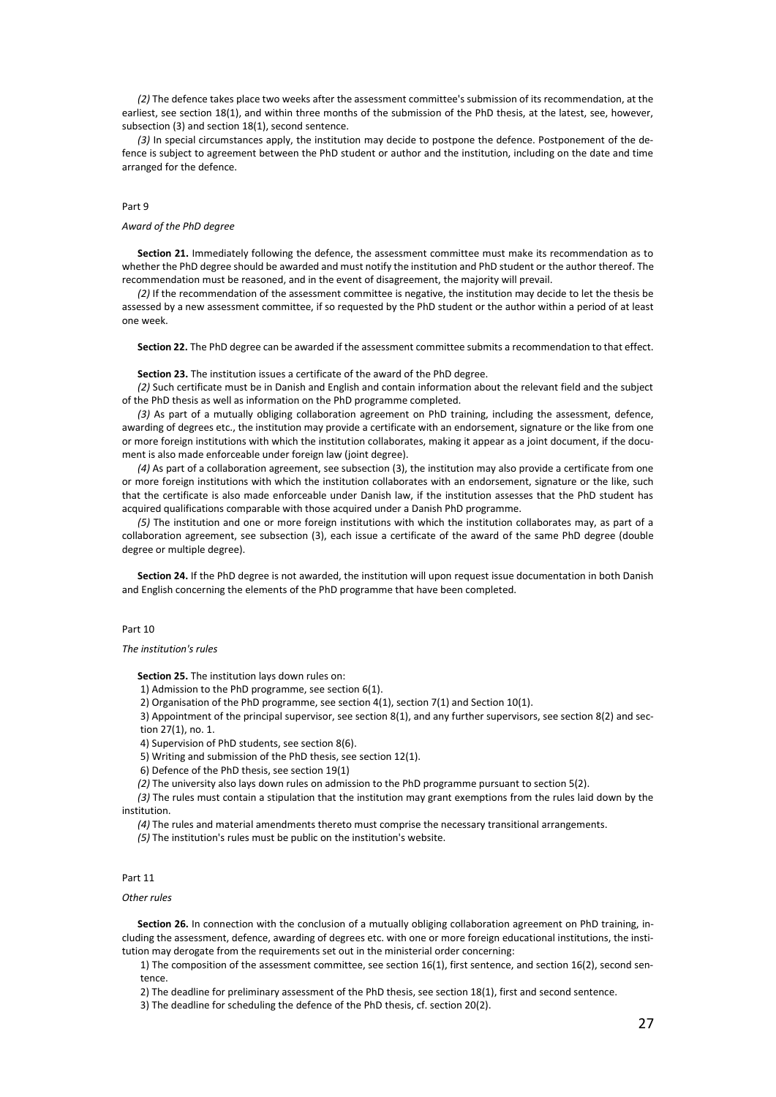*(2)* The defence takes place two weeks after the assessment committee's submission of its recommendation, at the earliest, see section 18(1), and within three months of the submission of the PhD thesis, at the latest, see, however, subsection (3) and section 18(1), second sentence.

*(3)* In special circumstances apply, the institution may decide to postpone the defence. Postponement of the defence is subject to agreement between the PhD student or author and the institution, including on the date and time arranged for the defence.

#### Part 9

#### *Award of the PhD degree*

**Section 21.** Immediately following the defence, the assessment committee must make its recommendation as to whether the PhD degree should be awarded and must notify the institution and PhD student or the author thereof. The recommendation must be reasoned, and in the event of disagreement, the majority will prevail.

*(2)* If the recommendation of the assessment committee is negative, the institution may decide to let the thesis be assessed by a new assessment committee, if so requested by the PhD student or the author within a period of at least one week.

**Section 22.** The PhD degree can be awarded if the assessment committee submits a recommendation to that effect.

**Section 23.** The institution issues a certificate of the award of the PhD degree.

*(2)* Such certificate must be in Danish and English and contain information about the relevant field and the subject of the PhD thesis as well as information on the PhD programme completed.

*(3)* As part of a mutually obliging collaboration agreement on PhD training, including the assessment, defence, awarding of degrees etc., the institution may provide a certificate with an endorsement, signature or the like from one or more foreign institutions with which the institution collaborates, making it appear as a joint document, if the document is also made enforceable under foreign law (joint degree).

*(4)* As part of a collaboration agreement, see subsection (3), the institution may also provide a certificate from one or more foreign institutions with which the institution collaborates with an endorsement, signature or the like, such that the certificate is also made enforceable under Danish law, if the institution assesses that the PhD student has acquired qualifications comparable with those acquired under a Danish PhD programme.

*(5)* The institution and one or more foreign institutions with which the institution collaborates may, as part of a collaboration agreement, see subsection (3), each issue a certificate of the award of the same PhD degree (double degree or multiple degree).

**Section 24.** If the PhD degree is not awarded, the institution will upon request issue documentation in both Danish and English concerning the elements of the PhD programme that have been completed.

Part 10

*The institution's rules*

**Section 25.** The institution lays down rules on:

1) Admission to the PhD programme, see section 6(1).

2) Organisation of the PhD programme, see section 4(1), section 7(1) and Section 10(1).

3) Appointment of the principal supervisor, see section 8(1), and any further supervisors, see section 8(2) and section 27(1), no. 1.

4) Supervision of PhD students, see section 8(6).

5) Writing and submission of the PhD thesis, see section 12(1).

6) Defence of the PhD thesis, see section 19(1)

*(2)* The university also lays down rules on admission to the PhD programme pursuant to section 5(2).

*(3)* The rules must contain a stipulation that the institution may grant exemptions from the rules laid down by the institution.

*(4)* The rules and material amendments thereto must comprise the necessary transitional arrangements.

*(5)* The institution's rules must be public on the institution's website.

#### Part 11

#### *Other rules*

**Section 26.** In connection with the conclusion of a mutually obliging collaboration agreement on PhD training, including the assessment, defence, awarding of degrees etc. with one or more foreign educational institutions, the institution may derogate from the requirements set out in the ministerial order concerning:

1) The composition of the assessment committee, see section 16(1), first sentence, and section 16(2), second sentence.

2) The deadline for preliminary assessment of the PhD thesis, see section 18(1), first and second sentence.

3) The deadline for scheduling the defence of the PhD thesis, cf. section 20(2).